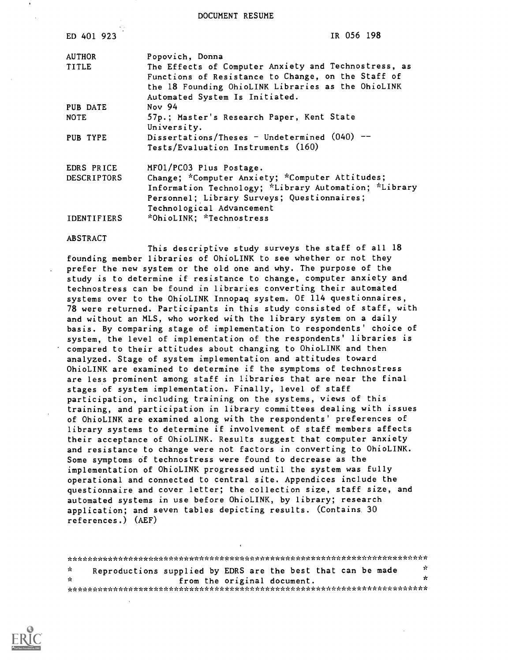DOCUMENT RESUME

| ED 401 923         | IR 056 198                                                                                                                                                                           |
|--------------------|--------------------------------------------------------------------------------------------------------------------------------------------------------------------------------------|
| <b>AUTHOR</b>      | Popovich, Donna                                                                                                                                                                      |
| <b>TITLE</b>       | The Effects of Computer Anxiety and Technostress, as<br>Functions of Resistance to Change, on the Staff of                                                                           |
|                    | the 18 Founding OhioLINK Libraries as the OhioLINK<br>Automated System Is Initiated.                                                                                                 |
| PUB DATE           | Nov 94                                                                                                                                                                               |
| <b>NOTE</b>        | 57p.; Master's Research Paper, Kent State<br>University.                                                                                                                             |
| PUB TYPE           | Dissertations/Theses - Undetermined $(040)$ --<br>Tests/Evaluation Instruments (160)                                                                                                 |
| EDRS PRICE         | MF01/PC03 Plus Postage.                                                                                                                                                              |
| <b>DESCRIPTORS</b> | Change; *Computer Anxiety; *Computer Attitudes;<br>Information Technology; *Library Automation; *Library<br>Personnel; Library Surveys; Questionnaires;<br>Technological Advancement |
| <b>IDENTIFIERS</b> | *OhioLINK; *Technostress                                                                                                                                                             |

#### ABSTRACT

This descriptive study surveys the staff of all 18 founding member libraries of OhioLINK to see whether or not they prefer the new system or the old one and why. The purpose of the study is to determine if resistance to change, computer anxiety and technostress can be found in libraries converting their automated systems over to the OhioLINK Innopaq system. Of 114 questionnaires, 78 were returned. Participants in this study consisted of staff, with and without an MLS, who worked with the library system on a daily basis. By comparing stage of implementation to respondents' choice of system, the level of implementation of the respondents' libraries is compared to their attitudes about changing to OhioLINK and then analyzed. Stage of system implementation and attitudes toward OhioLINK are examined to determine if the symptoms of technostress are less prominent among staff in libraries that are near the final stages of system implementation. Finally, level of staff participation, including training on the systems, views of this training, and participation in library committees dealing with issues of OhioLINK are examined along with the respondents' preferences of library systems to determine if involvement of staff members affects their acceptance of OhioLINK. Results suggest that computer anxiety and resistance to change were not factors in converting to OhioLINK. Some symptoms of technostress were found to decrease as the implementation of OhioLINK progressed until the system was fully operational and connected to central site. Appendices include the questionnaire and cover letter; the collection size, staff size, and automated systems in use before OhioLINK, by library; research application; and seven tables depicting results. (Contains. 30 references.) (AEF)

| γk. | Reproductions supplied by EDRS are the best that can be made | -22 |
|-----|--------------------------------------------------------------|-----|
| ÷.  | from the original document.                                  | ×   |
|     |                                                              |     |

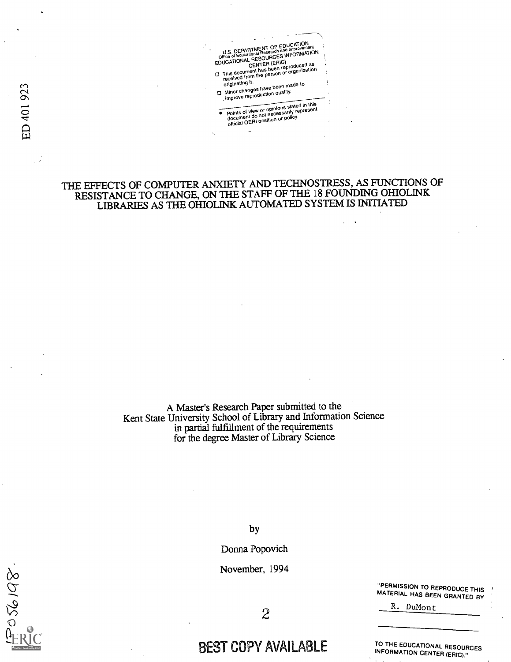U.S. DEPARTMENT OF EDUCATION U.S. DEPARTMENT OF EDUCTION<br>Office of Educational Research and Improvement<br>Office of Educational RCES INFORMATION Office of Educations ...<br>EDUCATIONAL RESOURCES INFORMATION CENTER (Eric) reproduc **CENTER LOCAL COMPOSED ASSESS**<br>This document has been reproduced as<br>received from the person or organization

originating it.<br>Minor changes have been made to the Minor changes have been improve reproduction quality.

Points of view or opinions stated in this document do not necessarily represent official OERI position or policy.

### THE EFFECTS OF COMPUTER ANXIETY AND TECHNOSTRESS, AS FUNCTIONS OF RESISTANCE TO CHANGE, ON THE STAFF OF THE 18FOUNDING OHIOLINK LIBRARIES AS THE OHIOLINK AUTOMATED SYSTEM IS INITIATED

A Master's Research Paper submitted to the Kent State University School of Library and Information Science in partial fulfillment of the requirements for the degree Master of Library Science

by

Donna Popovich

November, 1994

"PERMISSION TO MATERIAL HAS BEEN GRANTED BY R. DuMont

2

# BEST COPY AVAILABLE

TO THE EDUCATIONAL RESOURCES INFORMATION CENTER (ERIC)."

923 40]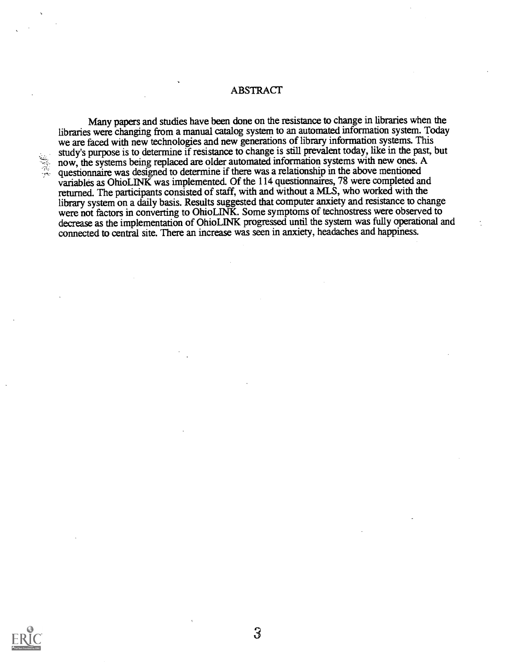**ABSTRACT** 

Many papers and studies have been done on the resistance to change in libraries when the libraries were changing from a manual catalog system to an automated information system. Today we are faced with new technologies and new generations of library information systems. This study's purpose is to determine if resistance to change is still prevalent today, like in the past, but now, the systems being replaced are older automated information systems with new ones. A questionnaire was designed to determine if there was a relationship in the above mentioned variables as OhioLINK was implemented. Of the 114 questionnaires, 78 were completed and returned. The participants consisted of staff, with and without a MLS, who worked with the library system on a daily basis. Results suggested that computer anxiety and resistance to change were not factors in converting to OhioLINK. Some symptoms of technostress were observed to decrease as the implementation of OhioLINK progressed until the system was fully operational and connected to central site. There an increase was seen in anxiety, headaches and happiness.

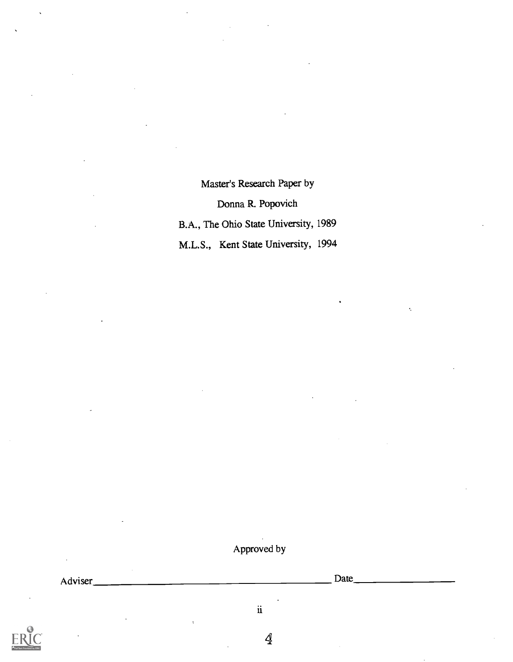Master's Research Paper by Donna R. Popovich B.A., The Ohio State University, 1989 M.L.S., Kent State University, 1994

## Approved by

Adviser Date

ii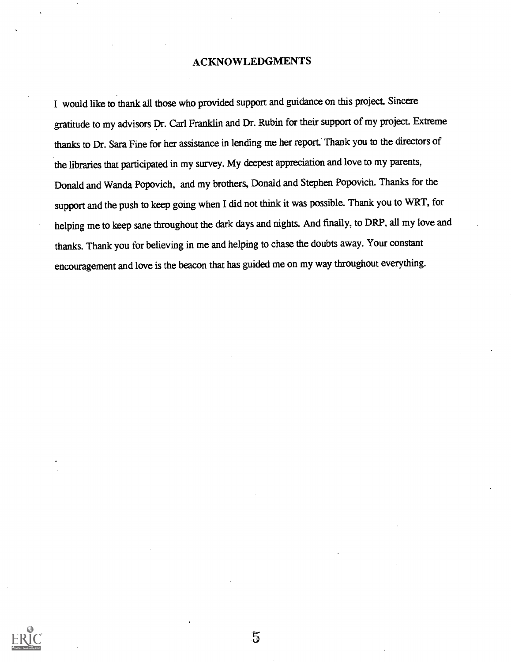#### ACKNOWLEDGMENTS

I would like to thank all those who provided support and guidance on this project. Sincere gratitude to my advisors Dr. Carl Franklin and Dr. Rubin for their support of my project. Extreme thanks to Dr. Sara Fine for her assistance in lending me her report. Thank you to the directors of the libraries that participated in my survey. My deepest appreciation and love to my parents, Donald and Wanda Popovich, and my brothers, Donald and Stephen Popovich. Thanks for the support and the push to keep going when I did not think it was possible. Thank you to WRT, for helping me to keep sane throughout the dark days and nights. And finally, to DRP, all my love and thanks. Thank you for believing in me and helping to chase the doubts away. Your constant encouragement and love is the beacon that has guided me on my way throughout everything.



 $\overline{5}$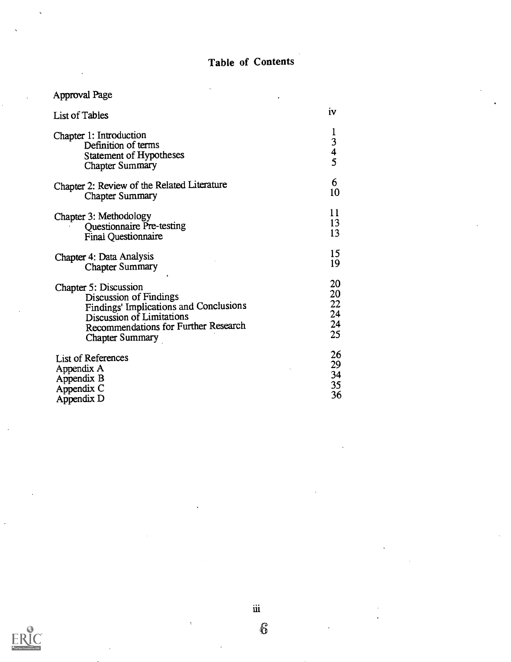# Table of Contents

# Approval Page

| <b>List of Tables</b>                                                                                      | 1V                                                        |
|------------------------------------------------------------------------------------------------------------|-----------------------------------------------------------|
| Chapter 1: Introduction<br>Definition of terms<br><b>Statement of Hypotheses</b><br><b>Chapter Summary</b> | $\mathbf 1$<br>$\begin{array}{c} 3 \\ 4 \\ 5 \end{array}$ |
| Chapter 2: Review of the Related Literature                                                                | 6                                                         |
| <b>Chapter Summary</b>                                                                                     | 10                                                        |
| Chapter 3: Methodology                                                                                     | 11                                                        |
| <b>Questionnaire Pre-testing</b>                                                                           | 13                                                        |
| <b>Final Questionnaire</b>                                                                                 | 13                                                        |
| Chapter 4: Data Analysis                                                                                   | 15                                                        |
| <b>Chapter Summary</b>                                                                                     | 19                                                        |
| Chapter 5: Discussion                                                                                      | 20                                                        |
| Discussion of Findings                                                                                     | 20                                                        |
| Findings' Implications and Conclusions                                                                     | 22                                                        |
| Discussion of Limitations                                                                                  | 24                                                        |
| Recommendations for Further Research                                                                       | 24                                                        |
| <b>Chapter Summary</b>                                                                                     | 25                                                        |
| <b>List of References</b>                                                                                  | 26                                                        |
| Appendix A                                                                                                 | 29                                                        |
| Appendix B                                                                                                 | 34                                                        |
| Appendix C                                                                                                 | 35                                                        |
| Appendix D                                                                                                 | 36                                                        |



 $\ddot{\mathbf{u}}$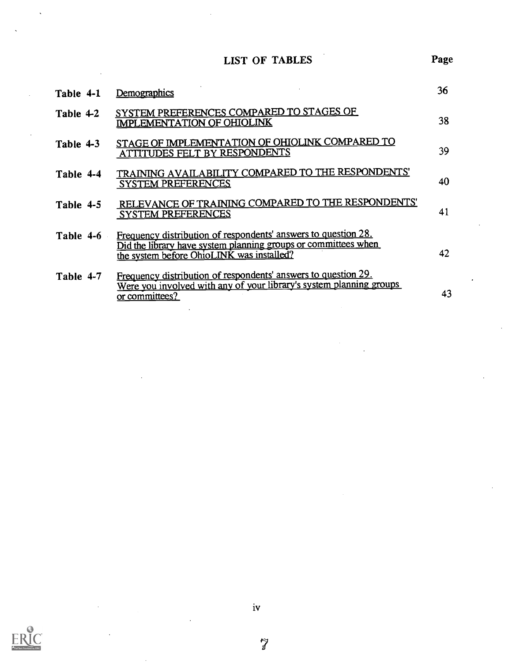LIST OF TABLES

| Table 4-1 | Demographics                                                                                                                                                                  | 36 |
|-----------|-------------------------------------------------------------------------------------------------------------------------------------------------------------------------------|----|
| Table 4-2 | SYSTEM PREFERENCES COMPARED TO STAGES OF<br>IMPLEMENTATION OF OHIOLINK                                                                                                        | 38 |
| Table 4-3 | STAGE OF IMPLEMENTATION OF OHIOLINK COMPARED TO<br>ATTITUDES FELT BY RESPONDENTS                                                                                              | 39 |
| Table 4-4 | TRAINING AVAILABILITY COMPARED TO THE RESPONDENTS'<br><b>SYSTEM PREFERENCES</b>                                                                                               | 40 |
| Table 4-5 | RELEVANCE OF TRAINING COMPARED TO THE RESPONDENTS'<br><b>SYSTEM PREFERENCES</b>                                                                                               | 41 |
| Table 4-6 | Frequency distribution of respondents' answers to question 28.<br>Did the library have system planning groups or committees when<br>the system before OhioLINK was installed? | 42 |
| Table 4-7 | Frequency distribution of respondents' answers to question 29.<br>Were you involved with any of your library's system planning groups<br>or committees?                       | 43 |

Page

iv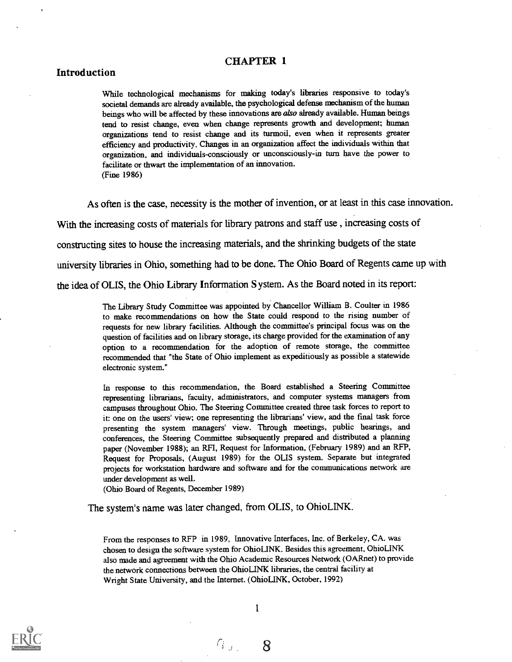#### CHAPTER 1

#### Introduction

While technological mechanisms for making today's libraries responsive to today's societal demands are already available, the psychological defense mechanism of the human beings who will be affected by these innovations are also already available. Human beings tend to resist change, even when change represents growth and development; human organizations tend to resist change and its turmoil, even when it represents greater efficiency and productivity. Changes in an organization affect the individuals within that organization, and individuals-consciously or unconsciously-in turn have the power to facilitate or thwart the implementation of an innovation. (Fine 1986)

As often is the case, necessity is the mother of invention, or at least in this case innovation. With the increasing costs of materials for library patrons and staff use , increasing costs of constructing sites to house the increasing materials, and the shrinking budgets of the state university libraries in Ohio, something had to be done. The Ohio Board of Regents came up with the idea of OLIS, the Ohio Library Information System. As the Board noted in its report:

> The Library Study Committee was appointed by Chancellor William B. Coulter in 1986 to make recommendations on how the State could respond to the rising number of requests for new library facilities. Although the committee's principal focus was on the question of facilities and on library storage, its charge provided for the examination of any option to a recommendation for the adoption of remote storage, the committee recommended that "the State of Ohio implement as expeditiously as possible a statewide electronic system."

> In response to this recommendation, the Board established a Steering Committee representing librarians, faculty, administrators, and computer systems managers from campuses throughout Ohio. The Steering Committee created three task forces to report to it: one on the users' view; one representing the librarians' view, and the final task force presenting the system managers' view. Through meetings, public hearings, and conferences, the Steering Committee subsequently prepared and distributed a planning paper (November 1988); an RFI, Request for Information, (February 1989) and an RFP, Request for Proposals, (August 1989) for the OLIS system. Separate but integrated projects for workstation hardware and software and for the communications network are under development as well.

(Ohio Board of Regents, December 1989)

The system's name was later changed, from OLIS, to OhioLINK.

From the responses to RFP in 1989, Innovative Interfaces, Inc. of Berkeley, CA. was chosen to design the software system for OhioLINK. Besides this agreement, OhioLINK also made and agreement with the Ohio Academic Resources Network (OARnet) to provide the network connections between the OhioLINK libraries, the central facility at Wright State University, and the Internet. (OhioLINK, October, 1992)



8

 $G_{J,\varepsilon}$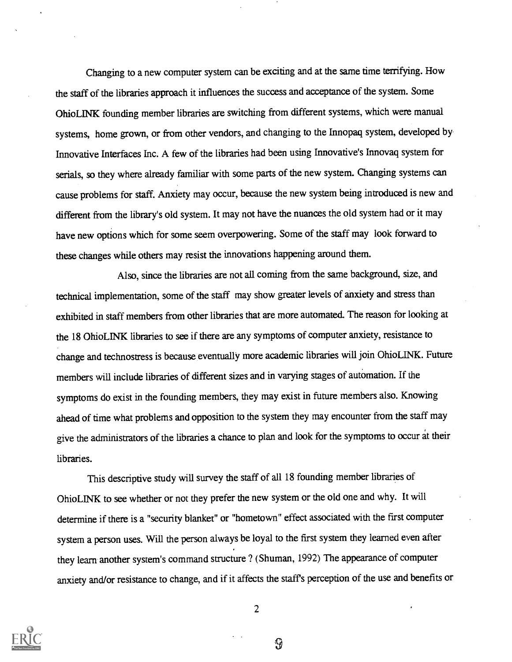Changing to a new computer system can be exciting and at the same time terrifying. How the staff of the libraries approach it influences the success and acceptance of the system. Some OhioLINK founding member libraries are switching from different systems, which were manual systems, home grown, or from other vendors, and changing to the Innopaq system, developed by Innovative Interfaces Inc. A few of the libraries had been using Innovative's Innovaq system for serials, so they where already familiar with some parts of the new system. Changing systems can cause problems for staff. Anxiety may occur, because the new system being introduced is new and different from the library's old system. It may not have the nuances the old system had or it may have new options which for some seem overpowering. Some of the staff may look forward to these changes while others may resist the innovations happening around them.

Also, since the libraries are not all coming from the same background, size, and technical implementation, some of the staff may show greater levels of anxiety and stress than exhibited in staff members from other libraries that are more automated. The reason for looking at the 18 OhioLINK libraries to see if there are any symptoms of computer anxiety, resistance to change and technostress is because eventually more academic libraries will join OhioLINK. Future members will include libraries of different sizes and in varying stages of automation. If the symptoms do exist in the founding members, they may exist in future members also. Knowing ahead of time what problems and opposition to the system they may encounter from the staff may give the administrators of the libraries a chance to plan and look for the symptoms to occur at their libraries.

This descriptive study will survey the staff of all 18 founding member libraries of OhioLINK to see whether or not they prefer the new system or the old one and why. It will determine if there is a "security blanket" or "hometown" effect associated with the first computer system a person uses. Will the person always be loyal to the first system they learned even after they learn another system's command structure ? (Shuman, 1992) The appearance of computer anxiety and/or resistance to change, and if it affects the staff's perception of the use and benefits or



2

 $\mathcal{G}$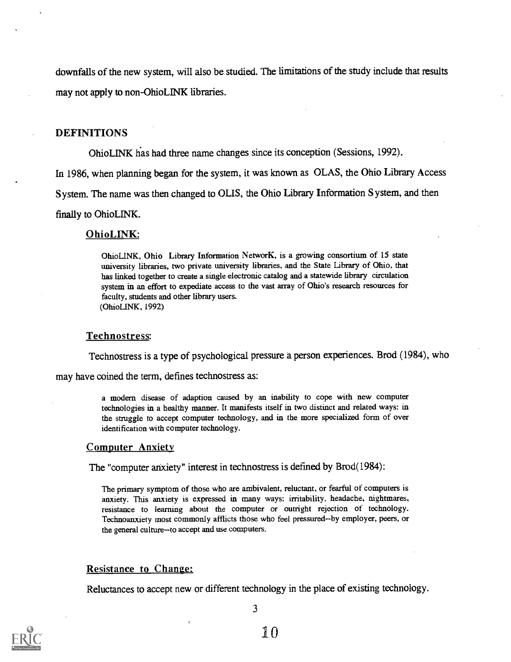downfalls of the new system, will also be studied. The limitations of the study include that results may not apply to non-OhioLINK libraries.

#### DEFINITIONS

OhioLINK has had three name changes since its conception (Sessions, 1992).

In 1986, when planning began for the system, it was known as OLAS, the Ohio Library Access

S ystem. The name was then changed to OLIS, the Ohio Library Information System, and then

finally to OhioLINK.

#### OhioLINK:

OhioLINK, Ohio Library Information NetworK, is a growing consortium of 15 state university libraries, two private university libraries, and the State Library of Ohio, that has linked together to create a single electronic catalog and a statewide library circulation system in an effort to expediate access to the vast array of Ohio's research resources for faculty, students and other library users. (OhioLINK, 1992)

#### Technostress:

Technostress is a type of psychological pressure a person experiences. Brod (1984), who

may have coined the term, defines technostress as:

a modem disease of adaption caused by an inability to cope with new computer technologies in a healthy manner. It manifests itself in two distinct and related ways: in the struggle to accept computer technology, and in the more specialized form of over identification with computer technology.

#### Computer Anxiety

The "computer anxiety" interest in technostress is defined by Brod(1984):

The primary symptom of those who are ambivalent, reluctant, or fearful of computers is anxiety. This anxiety is expressed in many ways: irritability, headache, nightmares, resistance to learning about the computer or outright rejection of technology. Technoanxiety most commonly afflicts those who feel pressured--by employer, peers, or the general culture-to accept and use computers.

#### Resistance to Change:

Reluctances to accept new or different technology in the place of existing technology.

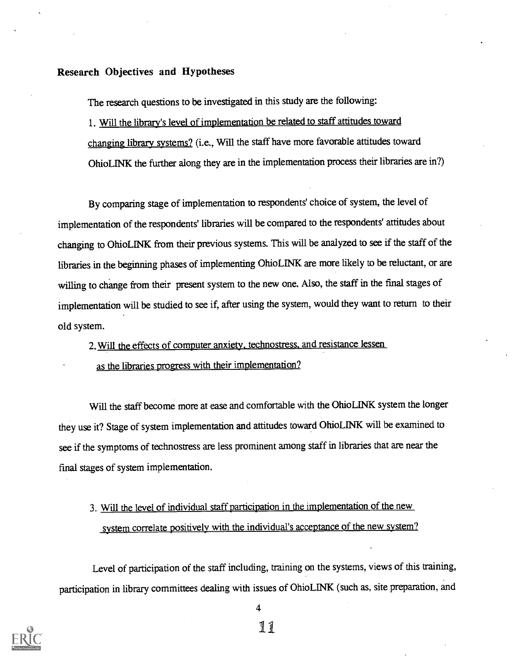#### Research Objectives and Hypotheses

The research questions to be investigated in this study are the following:

1. Will the library's level of implementation be related to staff attitudes toward changing library systems? (i.e., Will the staff have more favorable attitudes toward OhioLINK the further along they are in the implementation process their libraries are in?)

By comparing stage of implementation to respondents' choice of system, the level of implementation of the respondents' libraries will be compared to the respondents' attitudes about changing to Ohio LINK from their previous systems. This will be analyzed to see if the staff of the libraries in the beginning phases of implementing OhioLINK are more likely to be reluctant, or are willing to change from their present system to the new one. Also, the staff in the final stages of implementation will be studied to see if, after using the system, would they want to return to their old system.

2. Will the effects of computer anxiety, technostress. and resistance lessen

as the libraries progress with their implementation?

Will the staff become more at ease and comfortable with the OhioLINK system the longer they use it? Stage of system implementation and attitudes toward OhioLINK will be examined to see if the symptoms of technostress are less prominent among staff in libraries that are near the final stages of system implementation.

# 3. Will the level of individual staff participation in the implementation of the new system correlate positively with the individual's acceptance of the new system?

Level of participation of the staff including, training on the systems, views of this training, participation in library committees dealing with issues of OhioLINK (such as, site preparation, and



4

ii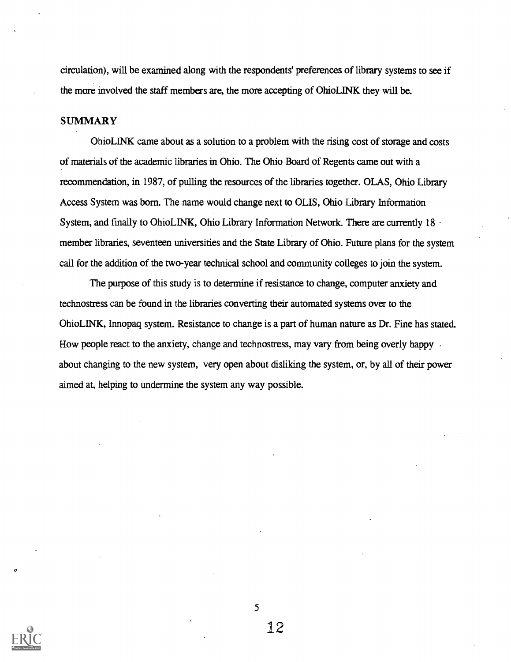circulation), will be examined along with the respondents' preferences of library systems to see if the more involved the staff members are, the more accepting of OhioLINK they will be.

#### **SUMMARY**

OhioLINK came about as a solution to a problem with the rising cost of storage and costs of materials of the academic libraries in Ohio. The Ohio Board of Regents came out with a recommendation, in 1987, of pulling the resources of the libraries together. OLAS, Ohio Library Access System was born. The name would change next to OLIS, Ohio Library Information System, and finally to OhioLINK, Ohio Library Information Network. There are currently 18  $\cdot$ member libraries, seventeen universities and the State Library of Ohio. Future plans for the system call for the addition of the two-year technical school and community colleges to join the system.

The purpose of this study is to determine if resistance to change, computer anxiety and technostress can be found in the libraries converting their automated systems over to the Ohio LINK, Innopaq system. Resistance to change is a part of human nature as Dr. Fine has stated. How people react to the anxiety, change and technostress, may vary from being overly happy about changing to the new system, very open about disliking the system, or, by all of their power aimed at, helping to undermine the system any way possible.

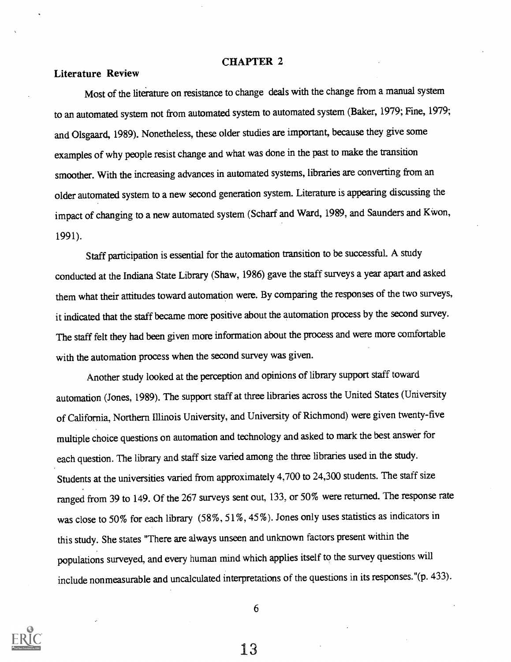#### CHAPTER 2

#### Literature Review

Most of the literature on resistance to change deals with the change from a manual system to an automated system not from automated system to automated system (Baker, 1979; Fine, 1979; and Olsgaard, 1989). Nonetheless, these older studies are important, because they give some examples of why people resist change and what was done in the past to make the transition smoother. With the increasing advances in automated systems, libraries are converting from an older automated system to a new second generation system. Literature is appearing discussing the impact of changing to a new automated system (Scharf and Ward, 1989, and Saunders and Kwon, 1991).

Staff participation is essential for the automation transition to be successful. A study conducted at the Indiana State Library (Shaw, 1986) gave the staff surveys a year apart and asked them what their attitudes toward automation were. By comparing the responses of the two surveys, it indicated that the staff became more positive about the automation process by the second survey. The staff felt they had been given more information about the process and were more comfortable with the automation process when the second survey was given.

Another study looked at the perception and opinions of library support staff toward automation (Jones, 1989). The support staff at three libraries across the United States (University of California, Northern Illinois University, and University of Richmond) were given twenty-five multiple choice questions on automation and technology and asked to mark the best answer for each question. The library and staff size varied among the three libraries used in the study. Students at the universities varied from approximately 4,700 to 24,300 students. The staff size ranged from 39 to 149. Of the 267 surveys sent out, 133, or 50% were returned. The response rate was close to 50% for each library (58%, 51%, 45%). Jones only uses statistics as indicators in this study. She states "There are always unseen and unknown factors present within the populations surveyed, and every human mind which applies itself to the survey questions will include nonmeasurable and uncalculated interpretations of the questions in its responses."(p. 433).



6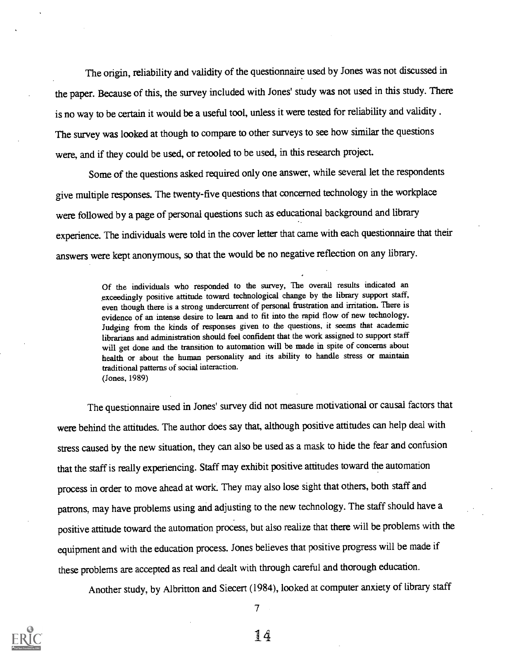The origin, reliability and validity of the questionnaire used by Jones was not discussed in the paper. Because of this, the survey included with Jones' study was not used in this study. There is no way to be certain it would be a useful tool, unless it were tested for reliability and validity . The survey was looked at though to compare to other surveys to see how similar the questions were, and if they could be used, or retooled to be used, in this research project.

Some of the questions asked required only one answer, while several let the respondents give multiple responses. The twenty-five questions that concerned technology in the workplace were followed by a page of personal questions such as educational background and library experience. The individuals were told in the cover letter that came with each questionnaire that their answers were kept anonymous, so that the would be no negative reflection on any library.

> Of the individuals who responded to the survey, The overall results indicated an exceedingly positive attitude toward technological change by the library support staff, even though there is a strong undercurrent of personal frustration and irritation. There is evidence of an intense desire to learn and to fit into the rapid flow of new technology. Judging from the kinds of responses given to the questions, it seems that academic librarians and administration should feel confident that the work assigned to support staff will get done and the transition to automation will be made in spite of concerns about health or about the human personality and its ability to handle stress or maintain traditional patterns of social interaction. (Jones, 1989)

The questionnaire used in Jones' survey did not measure motivational or causal factors that were behind the attitudes. The author does say that, although positive attitudes can help deal with stress caused by the new situation, they can also be used as a mask to hide the fear and confusion that the staff is really experiencing. Staff may exhibit positive attitudes toward the automation process in order to move ahead at work. They may also lose sight that others, both staff and patrons, may have problems using and adjusting to the new technology. The staff should have a positive attitude toward the automation process, but also realize that there will be problems with the equipment and with the education process. Jones believes that positive progress will be made if these problems are accepted as real and dealt with through careful and thorough education.

Another study, by Albritton and Siecert (1984), looked at computer anxiety of library staff

 $7 \pm 1$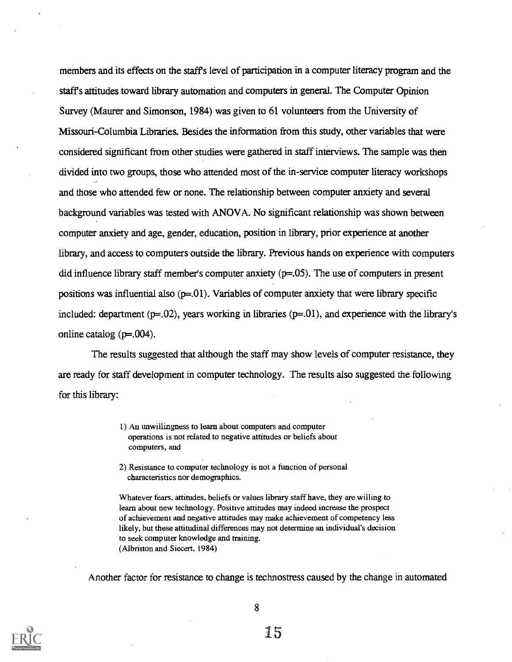members and its effects on the staffs level of participation in a computer literacy program and the staffs attitudes toward library automation and computers in general. The Computer Opinion Survey (Maurer and Simonson, 1984) was given to 61 volunteers from the University of Missouri-Columbia Libraries. Besides the information from this study, other variables that were considered significant from other studies were gathered in staff interviews. The sample was then divided into two groups, those who attended most of the in-service computer literacy workshops and those who attended few or none. The relationship between computer anxiety and several background variables was tested with ANOVA. No significant relationship was shown between computer anxiety and age, gender, education, position in library, prior experience at another library, and access to computers outside the library. Previous hands on experience with computers did influence library staff member's computer anxiety (p=.05). The use of computers in present positions was influential also  $(p=0.01)$ . Variables of computer anxiety that were library specific included: department  $(p=.02)$ , years working in libraries  $(p=.01)$ , and experience with the library's online catalog  $(p=.004)$ .

The results suggested that although the staff may show levels of computer resistance, they are ready for staff development in computer technology. The results also suggested the following for this library:

- 1) An unwillingness to learn about computers and computer operations is not related to negative attitudes or beliefs about computers, and
- 2) Resistance to computer technology is not a function of personal characteristics nor demographics.

Whatever fears, attitudes, beliefs or values library staff have, they are willing to learn about new technology. Positive attitudes may indeed increase the prospect of achievement and negative attitudes may make achievement of competency less likely, but these attitudinal differences may not determine an individual's decision to seek computer knowledge and training. (Albritton and Siecert, 1984)

Another factor for resistance to change is technostress caused by the change in automated

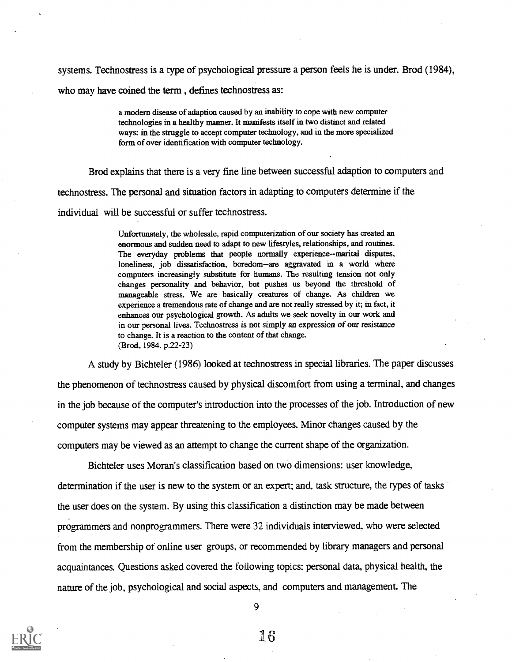systems. Technostress is a type of psychological pressure a person feels he is under. Brod (1984), who may have coined the term , defines technostress as:

> a modem disease of adaption caused by an inability to cope with new computer technologies in a healthy manner. It manifests itself in two distinct and related ways: in the struggle to accept computer technology, and in the more specialized form of over identification with computer technology.

Brod explains that there is a very fine line between successful adaption to computers and technostress. The personal and situation factors in adapting to computers determine if the individual will be successful or suffer technostress.

> Unfortunately, the wholesale, rapid computerization of our society has created an enormous and sudden need to adapt to new lifestyles, relationships, and routines. The everyday problems that people normally experience--marital disputes, loneliness, job dissatisfaction, boredom-are aggravated in a world where computers increasingly substitute for humans. The resulting tension not only changes personality and behavior, but pushes us beyond the threshold of manageable stress. We are basically creatures of change. As children we experience a tremendous rate of change and are not really stressed by it; in fact, it enhances our psychological growth. As adults we seek novelty in our work and in our personal lives. Technostress is not simply an expression of our resistance to change. It is a reaction to the content of that change. (Brod, 1984. p.22-23)

A study by Bichteler (1986) looked at technostress in special libraries. The paper discusses the phenomenon of technostress caused by physical discomfort from using a terminal, and changes in the job because of the computer's introduction into the processes of the job. Introduction of new computer systems may appear threatening to the employees. Minor changes caused by the computers may be viewed as an attempt to change the current shape of the organization.

Bichteler uses Moran's classification based on two dimensions: user knowledge, determination if the user is new to the system or an expert; and, task structure, the types of tasks the user does on the system. By using this classification a distinction may be made between programmers and nonprogrammers. There were 32 individuals interviewed, who were selected from the membership of online user groups, or recommended by library managers and personal acquaintances. Questions asked covered the following topics: personal data, physical health, the nature of the job, psychological and social aspects, and computers and management. The

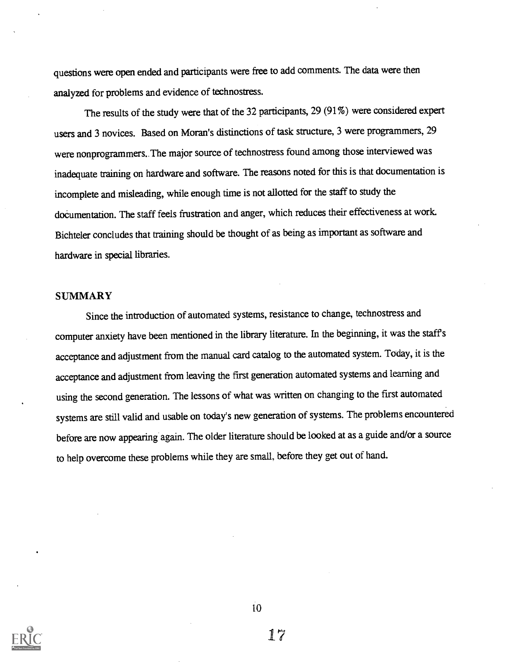questions were open ended and participants were free to add comments. The data were then analyzed for problems and evidence of technostress.

The results of the study were that of the 32 participants, 29 (91%) were considered expert users and 3 novices. Based on Moran's distinctions of task structure, 3 were programmers, 29 were nonprogrammers..The major source of technostress found among those interviewed was inadequate training on hardware and software. The reasons noted for this is that documentation is incomplete and misleading, while enough time is not allotted for the staff to study the documentation. The staff feels frustration and anger, which reduces their effectiveness at work. Bichteler concludes that training should be thought of as being as important as software and hardware in special libraries.

#### **SUMMARY**

Since the introduction of automated systems, resistance to change, technostress and computer anxiety have been mentioned in the library literature. In the beginning, it was the staff s acceptance and adjustment from the manual card catalog to the automated system. Today, it is the acceptance and adjustment from leaving the first generation automated systems and learning and using the second generation. The lessons of what was written on changing to the first automated systems are still valid and usable on today's new generation of systems. The problems encountered before are now appearing again. The older literature should be looked at as a guide and/or a source to help overcome these problems while they are small, before they get out of hand.

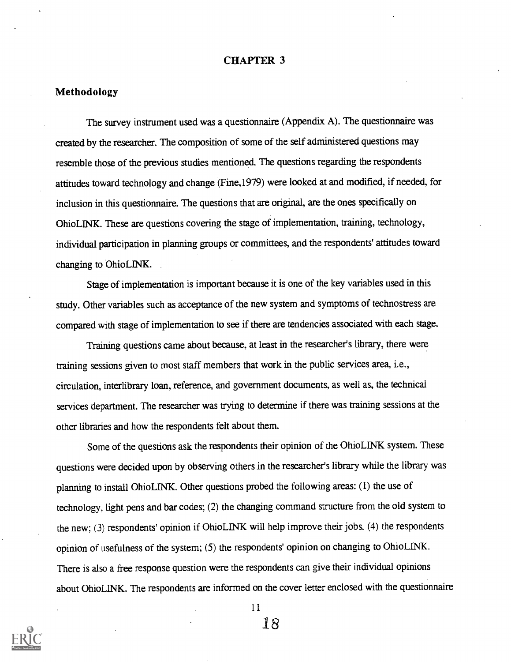#### CHAPTER 3

#### Methodology

The survey instrument used was a questionnaire (Appendix A). The questionnaire was created by the researcher. The composition of some of the self administered questions may resemble those of the previous studies mentioned. The questions regarding the respondents attitudes toward technology and change (Fine,1979) were looked at and modified, if needed, for inclusion in this questionnaire. The questions that are original, are the ones specifically on OhioLINK. These are questions covering the stage of implementation, training, technology, individual participation in planning groups or committees, and the respondents' attitudes toward changing to OhioLINK.

Stage of implementation is important because it is one of the key variables used in this study. Other variables such as acceptance of the new system and symptoms of technostress are compared with stage of implementation to see if there are tendencies associated with each stage.

Training questions came about because, at least in the researcher's library, there were training sessions given to most staff members that work in the public services area, i.e., circulation, interlibrary loan, reference, and government documents, as well as, the technical services department. The researcher was trying to determine if there was training sessions at the other libraries and how the respondents felt about them.

Some of the questions ask the respondents their opinion of the OhioLINK system. These questions were decided upon by observing others in the researcher's library while the library was planning to install Ohio LINK. Other questions probed the following areas:  $(1)$  the use of technology, light pens and bar codes; (2) the changing command structure from the old system to the new; (3) respondents' opinion if OhioLINK will help improve their jobs. (4) the respondents opinion of usefulness of the system; (5) the respondents' opinion on changing to OhioLINK. There is also a free response question were the respondents can give their individual opinions about OhioLINK. The respondents are informed on the cover letter enclosed with the questionnaire

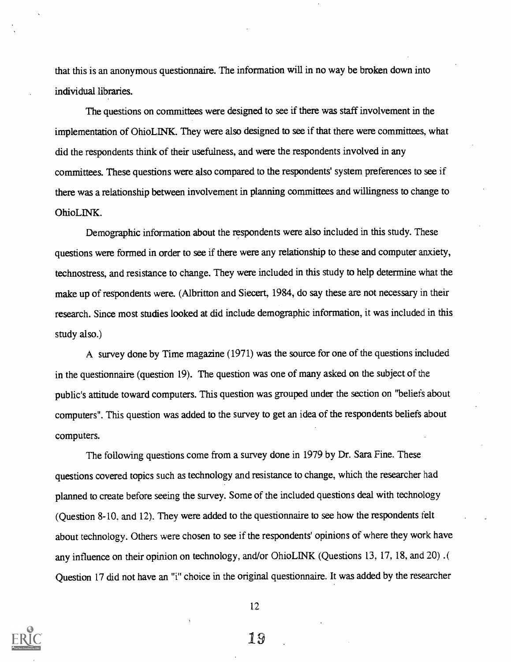that this is an anonymous questionnaire. The information will in no way be broken down into individual libraries.

The questions on committees were designed to see if there was staff involvement in the implementation of OhioLINK. They were also designed to see if that there were committees, what did the respondents think of their usefulness, and were the respondents involved in any committees. These questions were also compared to the respondents' system preferences to see if there was a relationship between involvement in planning committees and willingness to change to OhioLINK.

Demographic information about the respondents were also included in this study. These questions were formed in order to see if there were any relationship to these and computer anxiety, technostress, and resistance to change. They were included in this study to help determine what the make up of respondents were. (Albritton and Siecert, 1984, do say these are not necessary in their research. Since most studies looked at did include demographic information, it was included in this study also.)

A survey done by Time magazine (1971) was the source for one of the questions included in the questionnaire (question 19). The question was one of many asked on the subject of the public's attitude toward computers. This question was grouped under the section on "beliefs about computers". This question was added to the survey to get an idea of the respondents beliefs about computers.

The following questions come from a survey done in 1979 by Dr. Sara Fine. These questions covered topics such as technology and resistance to change, which the researcher had planned to create before seeing the survey. Some of the included questions deal with technology (Question 8-10, and 12). They were added to the questionnaire to see how the respondents felt about technology. Others were chosen to see if the respondents' opinions of where they work have any influence on their opinion on technology, and/or OhioLINK (Questions 13, 17, 18, and 20). Question 17 did not have an "i" choice in the original questionnaire. It was added by the researcher

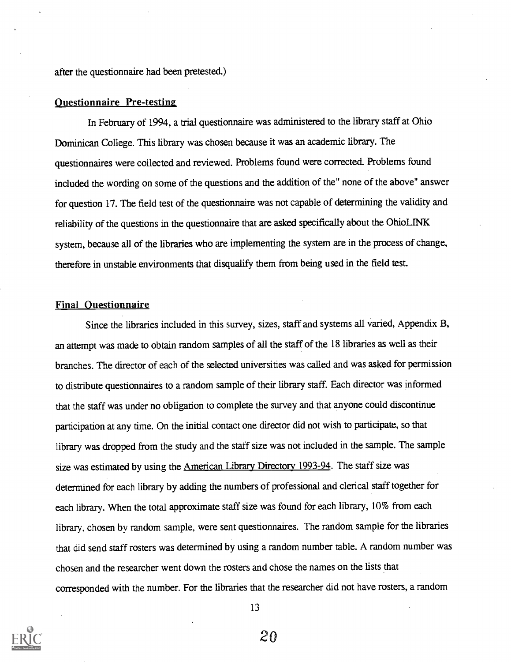after the questionnaire had been pretested.)

#### Ouestionnaire Pre-testing

In February of 1994, a trial questionnaire was administered to the library staff at Ohio Dominican College. This library was chosen because it was an academic library. The questionnaires were collected and reviewed. Problems found were corrected. Problems found included the wording on some of the questions and the addition of the" none of the above" answer for question 17. The field test of the questionnaire was not capable of determining the validity and reliability of the questions in the questionnaire that are asked specifically about the OhioLINK system, because all of the libraries who are implementing the system are in the process of change, therefore in unstable environments that disqualify them from being used in the field test.

#### Final Questionnaire

Since the libraries included in this survey, sizes, staff and systems all varied, Appendix B, an attempt was made to obtain random samples of all the staffof the 18 libraries as well as their branches. The director of each of the selected universities was called and was asked for permission to distribute questionnaires to a random sample of their library staff. Each director wasinformed that the staff was under no obligation to complete the survey and that anyone could discontinue participation at any time. On the initial contact one director did not wish to participate, so that library was dropped from the study and the staff size was not included in the sample. The sample size was estimated by using the American Library Directory 1993-94. The staff size was determined for each library by adding the numbers of professional and clerical staff together for each library. When the total approximate staff size was found for each library, 10% from each library, chosen by random sample, were sent questionnaires. The random sample for the libraries that did send staff rosters was determined by using a random number table. A random number was chosen and the researcher went down the rosters and chose the names on the lists that corresponded with the number. For the libraries that the researcher did not have rosters, a random



13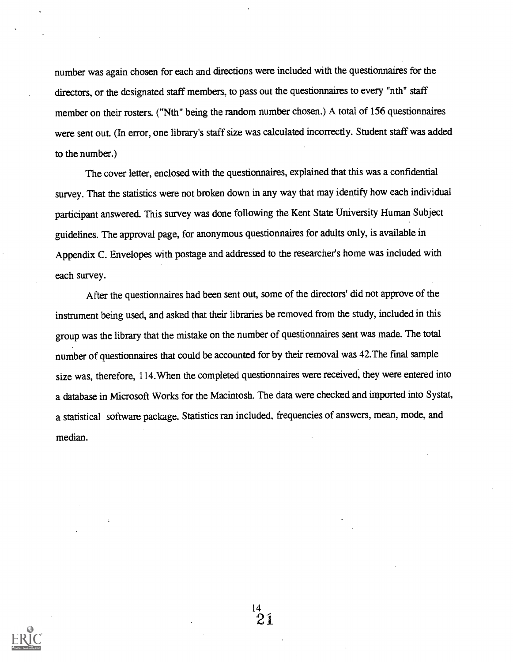number was again chosen for each and directions were included with the questionnaires for the directors, or the designated staff members, to pass out the questionnaires to every "nth" staff member on their rosters. ("Nth" being the random number chosen.) A total of 156 questionnaires were sent out. (In error, one library's staff size was calculated incorrectly. Student staff was added to the number.)

The cover letter, enclosed with the questionnaires, explained that this was a confidential survey. That the statistics were not broken down in any way that may identify how each individual participant answered. This survey was done following the Kent State University Human Subject guidelines. The approval page, for anonymous questionnaires for adults only, is available in Appendix C. Envelopes with postage and addressed to the researcher's home was included with each survey.

After the questionnaires had been sent out, some of the directors' did not approve of the instrument being used, and asked that their libraries be removed from the study, included in this group was the library that the mistake on the number of questionnaires sent was made. The total number of questionnaires that could be accounted for by their removal was 42.The final sample size was, therefore, 114. When the completed questionnaires were received, they were entered into a database in Microsoft Works for the Macintosh. The data were checked and imported into Systat, a statistical software package. Statistics ran included, frequencies of answers, mean, mode, and median.

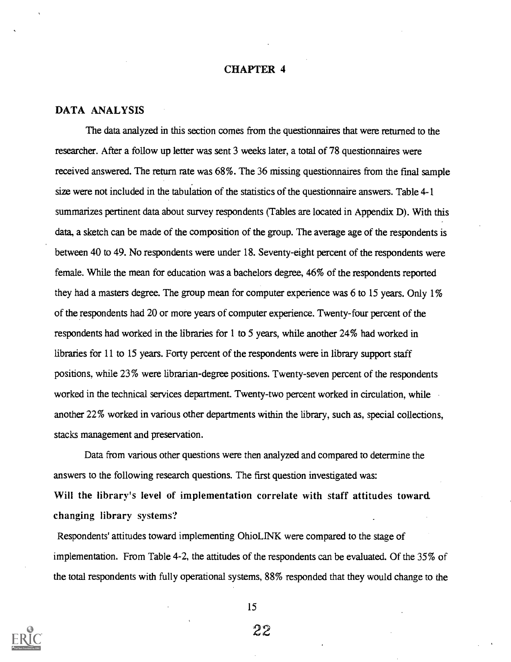#### CHAPTER 4

#### DATA ANALYSIS

The data analyzed in this section comes from the questionnaires that were returned to the researcher. After a follow up letter was sent 3 weeks later, a total of 78 questionnaires were received answered. The return rate was 68%. The 36 missing questionnaires from the final sample size were not included in the tabulation of the statistics of the questionnaire answers. Table 4-1 summarizes pertinent data about survey respondents (Tables are located in Appendix D). With this data, a sketch can be made of the composition of the group. The average age of the respondents is between 40 to 49. No respondents were under 18. Seventy-eight percent of the respondents were female. While the mean for education was a bachelors degree, 46% of the respondents reported they had a masters degree. The group mean for computer experience was 6 to 15 years. Only 1% of the respondents had 20 or more years of computer experience. Twenty-four percent of the respondents had worked in the libraries for 1 to 5 years, while another 24% had worked in libraries for 11 to 15 years. Forty percent of the respondents were in library support staff positions, while 23% were librarian-degree positions. Twenty-seven percent of the respondents worked in the technical services department. Twenty-two percent worked in circulation, while another 22% worked in various other departments within the library, such as, special collections, stacks management and preservation.

Data from various other questions were then analyzed and compared to determine the answers to the following research questions. The first question investigated was: Will the library's level of implementation correlate with staff attitudes toward. changing library systems?

Respondents' attitudes toward implementing OhioLINK were compared to the stage of implementation. From Table 4-2, the attitudes of the respondents can be evaluated. Of the 35% of the total respondents with fully operational systems, 88% responded that they would change to the

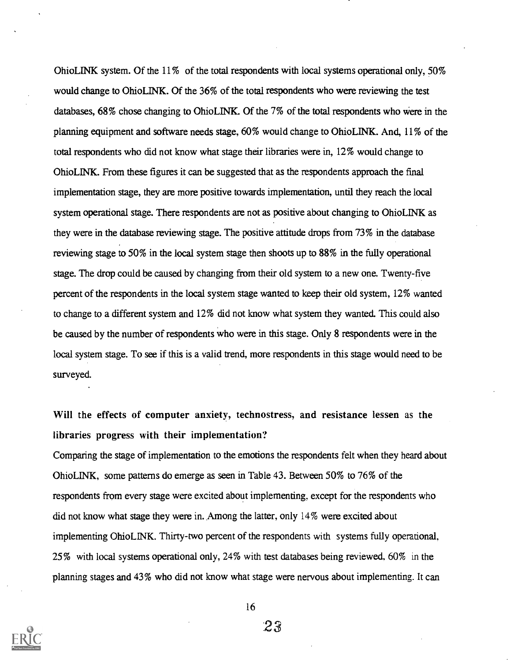OhioLINK system. Of the 11% of the total respondents with local systems operational only, 50% would change to OhioLINK. Of the 36% of the total respondents who were reviewing the test databases, 68% chose changing to OhioLINK. Of the 7% of the total respondents who were in the planning equipment and software needs stage, 60% would change to OhioLINK. And, 11% of the total respondents who did not know what stage their libraries were in, 12% would change to OhioLINK. From these figures it can be suggested that as the respondents approach the final implementation stage, they are more positive towards implementation, until they reach the local system operational stage. There respondents are not as positive about changing to OhioLINK as they were in the database reviewing stage. The positive attitude drops from 73% in the database reviewing stage to 50% in the local system stage then shoots up to 88% in the fully operational stage. The drop could be caused by changing from their old system to a new one. Twenty-five percent of the respondents in the local system stage wanted to keep their old system, 12% wanted to change to a different system and 12% did not know what system they wanted. This could also be caused by the number of respondents who were in this stage. Only 8 respondents were in the local system stage. To see if this is a valid trend, more respondents in this stage would need to be surveyed.

Will the effects of computer anxiety, technostress, and resistance lessen as the libraries progress with their implementation?

Comparing the stage of implementation to the emotions the respondents felt when they heard about OhioLINK, some patterns do emerge as seen in Table 43. Between 50% to 76% of the respondents from every stage were excited about implementing, except for the respondents who did not know what stage they were in. Among the latter, only 14% were excited about implementing OhioLINK. Thirty-two percent of the respondents with systems fully operational, 25% with local systems operational only, 24% with test databases being reviewed, 60% in the planning stages and 43% who did not know what stage were nervous about implementing. It can

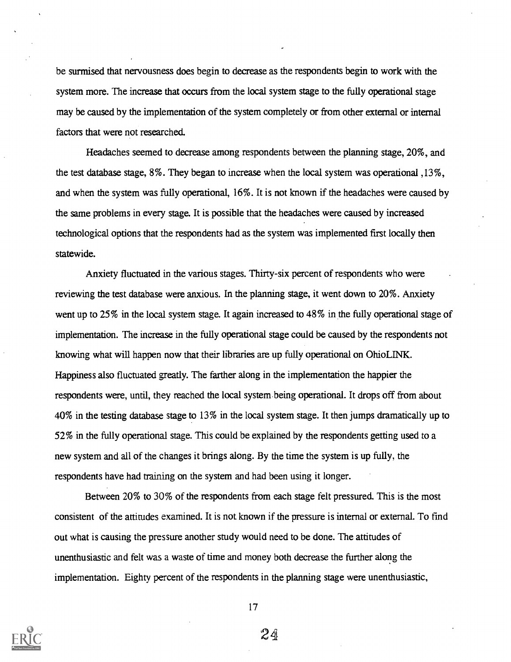be surmised that nervousness does begin to decrease as the respondents begin to work with the system more. The increase that occurs from the local system stage to the fully operational stage may be caused by the implementation of the system completely or from other external or internal factors that were not researched.

Headaches seemed to decrease among respondents between the planning stage, 20%, and the test database stage, 8%. They began to increase when the local system was operational ,13%, and when the system was fully operational, 16%. It is not known if the headaches were caused by the same problems in every stage. It is possible that the headaches were caused by increased technological options that the respondents had as the system was implemented first locally then statewide.

Anxiety fluctuated in the various stages. Thirty-six percent of respondents who were reviewing the test database were anxious. In the planning stage, it went down to 20%. Anxiety went up to 25% in the local system stage. It again increased to 48% in the fully operational stage of implementation. The increase in the fully operational stage could be caused by the respondents not knowing what will happen now that their libraries are up fully operational on OhioLINK. Happiness also fluctuated greatly. The farther along in the implementation the happier the respondents were, until, they reached the local system being operational. It drops off from about 40% in the testing database stage to 13% in the local system stage. It then jumps dramatically up to 52% in the fully operational stage. This could be explained by the respondents getting used to a new system and all of the changes it brings along. By the time the system is up fully, the respondents have had training on the system and had been using it longer.

Between 20% to 30% of the respondents from each stage felt pressured. This is the most consistent of the attitudes examined. It is not. known if the pressure is internal or external. To find out what is causing the pressure another study would need to be done. The attitudes of unenthusiastic and felt was a waste of time and money both decrease the further along the implementation. Eighty percent of the respondents in the planning stage were unenthusiastic,



17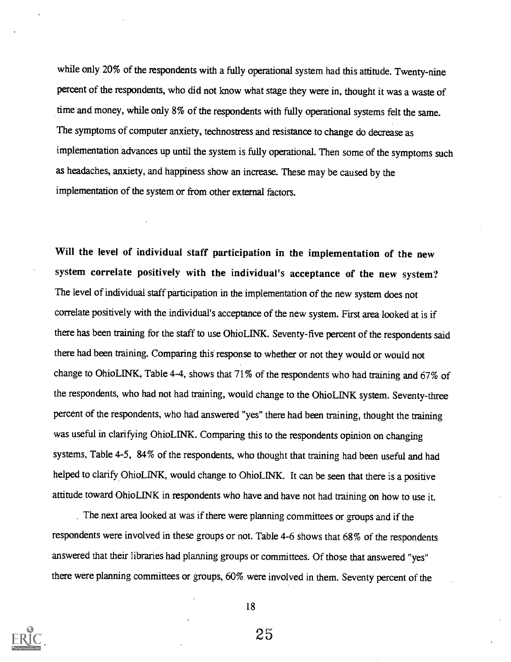while only 20% of the respondents with a fully operational system had this attitude. Twenty-nine percent of the respondents, who did not know what stage they were in, thought it was a waste of time and money, while only 8% of the respondents with fully operational systems felt the same. The symptoms of computer anxiety, technostress and resistance to change do decrease as implementation advances up until the system is fully operational. Then some of the symptoms such as headaches, anxiety, and happiness show an increase. These may be caused by the implementation of the system or from other external factors.

Will the level of individual staff participation in the implementation of the new system correlate positively with the individual's acceptance of the new system? The level of individual staff participation in the implementation of the new system does not correlate positively with the individual's acceptance of the new system. First area looked at is if there has been training for the staff to use OhioL1NK. Seventy-five percent of the respondents said there had been training. Comparing this response to whether or not they would or would not change to OhioLINK, Table 4-4, shows that 71% of the respondents who had training and 67% of the respondents, who had not had training, would change to the OhioLINK system. Seventy-three percent of the respondents, who had answered "yes" there had been training, thought the training was useful in clarifying OhioLINK. Comparing this to the respondents opinion on changing systems, Table 4-5, 84% of the respondents, who thought that training had been useful and had helped to clarify OhioLINK, would change to OhioLINK. It can be seen that there is a positive attitude toward OhioLINK in respondents who have and have not had training on how to use it.

The next area looked at was if there were planning committees or groups and if the respondents were involved in these groups or not. Table 4-6 shows that 68% of the respondents answered that their libraries had planning groups or committees. Of those that answered "yes" there were planning committees or groups, 60% were involved in them. Seventy percent of the



18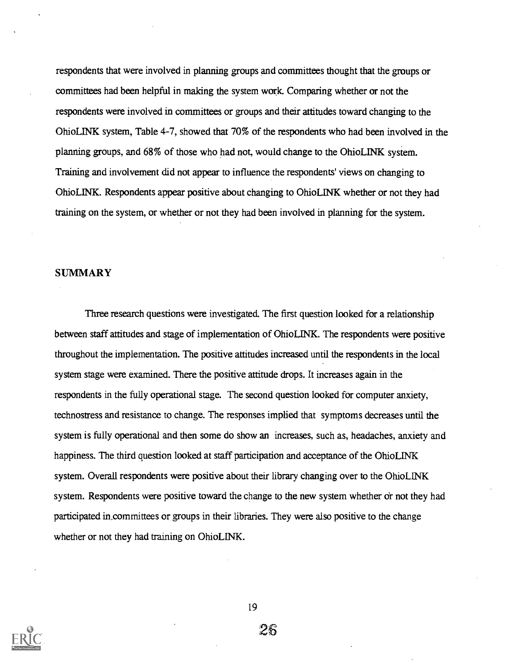respondents that were involved in planning groups and committees thought that the groups or committees had been helpful in making the system work. Comparing whether or not the respondents were involved in committees or groups and their attitudes toward changing to the OhioLINK system, Table 4-7, showed that 70% of the respondents who had been involved in the planning groups, and 68% of those who had not, would change to the OhioLINK system. Training and involvement did not appear to influence the respondents' views on changing to OhioLINK. Respondents appear positive about changing to OhioLINK whether or not they had training on the system, or whether or not they had been involved in planning for the system.

#### **SUMMARY**

Three research questions were investigated. The first question looked for a relationship between staff attitudes and stage of implementation of OhioLINK. The respondents were positive throughout the implementation. The positive attitudes increased until the respondents in the local system stage were examined. There the positive attitude drops. It increases again in the respondents in the fully operational stage. The second question looked for computer anxiety, technostress and resistance to change. The responses implied that symptoms decreases until the system is fully operational and then some do show an increases, such as, headaches, anxiety and happiness. The third question looked at staff participation and acceptance of the OhioLINK system. Overall respondents were positive about their library changing over to the OhioLINK system. Respondents were positive toward the change to the new system whether or not they had participated in committees or groups in their libraries. They were also positive to the change whether or not they had training on OhioLINK.

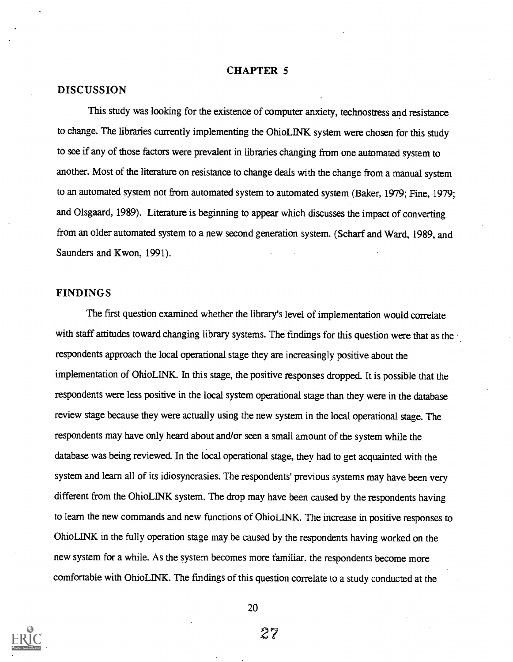#### CHAPTER 5

#### DISCUSSION

This study was looking for the existence of computer anxiety, technostress and resistance to change. The libraries currently implementing the OhioLINK system were chosen for this study to see if any of those factors were prevalent in libraries changing from one automated system to another. Most of the literature on resistance to change deals with the change from a manual system to an automated system not from automated system to automated system (Baker, 1979; Fine, 1979; and Olsgaard, 1989). Literature is beginning to appear which discusses the impact of converting from an older automated system to a new second generation system. (Scharf and Ward, 1989, and Saunders and Kwon, 1991).

#### FINDINGS

The first question examined whether the library's level of implementation would correlate with staff attitudes toward changing library systems. The findings for this question were that as the respondents approach the local operational stage they are increasingly positive about the implementation of OhioLINK. In this stage, the positive responses dropped. It is possible that the respondents were less positive in the local system operational stage than they were in the database review stage because they were actually using the new system in the local operational stage. The respondents may have only heard about and/or seen a small amount of the system while the database was being reviewed. In the local operational stage, they had to get acquainted with the system and learn all of its idiosyncrasies. The respondents' previous systems may have been very different from the OhioLINK system. The drop may have been caused by the respondents having to learn the new commands and new functions of OhioLINK. The increase in positive responses to OhioLINK in the fully operation stage may be caused by the respondents having worked on the new system for a while. As the system becomes more familiar, the respondents become more comfortable with OhioLINK. The findings of this question correlate to a study conducted at the



20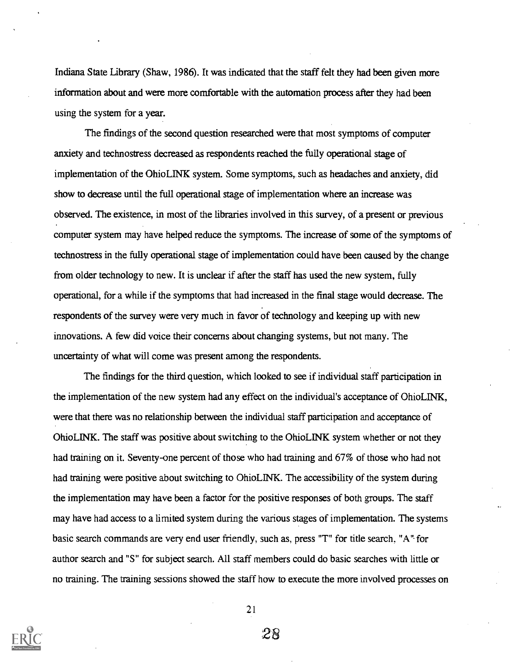Indiana State Library (Shaw, 1986). It was indicated that the staff felt they had been given more information about and were more comfortable with the automation process after they had been using the system for a year.

The findings of the second question researched were that most symptoms of computer anxiety and technostress decreased as respondents reached the fully operational stage of implementation of the OhioLINK system. Some symptoms, such as headaches and anxiety, did show to decrease until the full operational stage of implementation where an increase was observed. The existence, in most of the libraries involved in this survey, of a present or previous computer system may have helped reduce the symptoms. The increase of some of the symptoms of technostress in the fully operational stage of implementation could have been caused by the change from older technology to new. It is unclear if after the staff has used the new system, fully operational, for a while if the symptoms that had increased in the final stage would decrease. The respondents of the survey were very much in favor of technology and keeping up with new innovations. A few did voice their concerns about changing systems, but not many. The uncertainty of what will come was present among the respondents.

The findings for the third question, which looked to see if individual staff participation in the implementation of the new system had any effect on the individual's acceptance of OhioLINK, were that there was no relationship between the individual staff participation and acceptance of Ohio LINK. The staff was positive about switching to the Ohio LINK system whether or not they had training on it. Seventy-one percent of those who had training and 67% of those who had not had training were positive about switching to OhioLINK. The accessibility of the system during the implementation may have been a factor for the positive responses of both groups. The staff may have had access to a limited system during the various stages of implementation. The systems basic search commands are very end user friendly, such as, press "T" for title search. "A" for author search and "S" for subject search. All staff members could do basic searches with little or no training. The training sessions showed the staff how to execute the more involved processes on

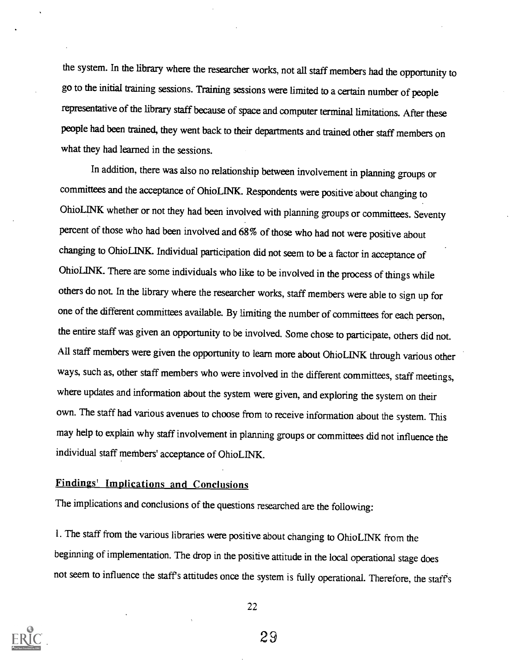the system. In the library where the researcher works, not all staff members had the opportunity to go to the initial training sessions. Training sessions were limited to a certain number of people representative of the library staff because of space and computer terminal limitations. After these people had been trained, they went back to their departments and trained other staff members on what they had learned in the sessions.

In addition, there was also no relationship between involvement in planning groups or committees and the acceptance of OhioLINK. Respondents were positive about changing to OhioLINK whether or not they had been involved with planning groups or committees. Seventy percent of those who had been involved and 68% of those who had not were positive about changing to OhioLINK. Individual participation did not seem to be a factor in acceptance of OhioLINK. There are some individuals who like to be involved in the process of things while others do not. In the library where the researcher works, staff members were able to sign up for one of the different committees available. By limiting the number of committees for each person, the entire staff was given an opportunity to be involved. Some chose to participate, others did not. All staff members were given the opportunity to learn more about OhioLINK through various other ways, such as, other staff members who were involved in the different committees, staff meetings, where updates and information about the system were given, and exploring the system on their own. The staff had various avenues to choose from to receive information about the system. This may help to explain why staff involvement in planning groups or committees did not influence the individual staff members' acceptance of OhioLINK.

#### Findings' Implications and Conclusions

The implications and conclusions of the questions researched are the following:

1. The staff from the various libraries were positive about changing to OhioLINK from the beginning of implementation. The drop in the positive attitude in the local operational stage does not seem to influence the staffs attitudes once the system is fully operational. Therefore, the staffs



22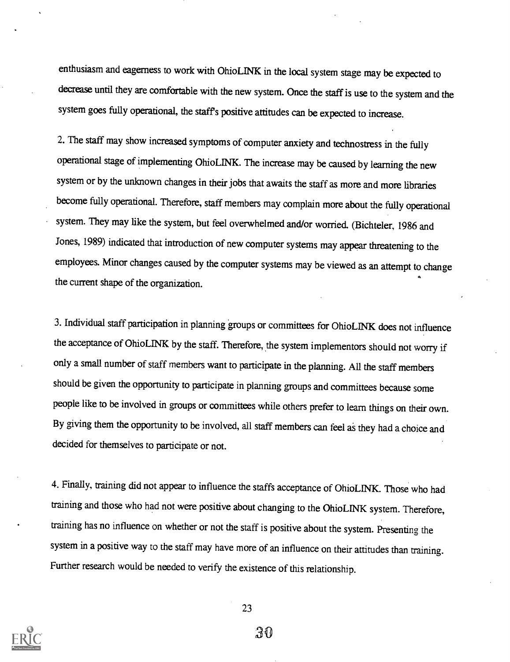enthusiasm and eagerness to work with OhioLINK in the local system stage may be expected to decrease until they are comfortable with the new system. Once the staff is use to the system and the system goes fully operational, the staffs positive attitudes can be expected to increase.

2. The staff may show increased symptoms of computer anxiety and technostress in the fully operational stage of implementing OhioLINK. The increase may be caused by learning the new system or by the unknown changes in their jobs that awaits the staff as more and more libraries become fully operational. Therefore, staff members may complain more about the fully operational system. They may like the system, but feel overwhelmed and/or worried. (Bichteler, 1986 and Jones, 1989) indicated that introduction of new computer systems may appear threatening to the employees. Minor changes caused by the computer systems may be viewed as an attempt to change the current shape of the organization.

3. Individual staff participation in planning groups or committees for OhioLINK does not influence the acceptance of OhioLINK by the staff. Therefore, the system implementors should not worry if only a small number of staff members want to participate in the planning. All the staff members should be given the opportunity to participate in planning groups and committees because some people like to be involved in groups or committees while others prefer to learn things on their own. By giving them the opportunity to be involved, all staff members can feel as they had a choice and decided for themselves to participate or not.

4. Finally, training did not appear to influence the staffs acceptance of OhioLINK. Those who had training and those who had not were positive about changing to the OhioLINK system. Therefore, training has no influence on whether or not the staff is positive about the system. Presenting the system in a positive way to the staff may have more of an influence on their attitudes than training. Further research would be needed to verify the existence of this relationship.

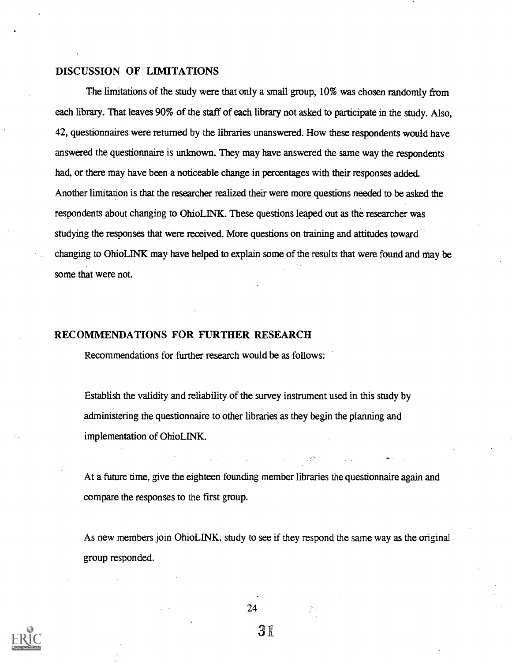#### DISCUSSION OF LIMITATIONS

The limitations of the study were that only a small group, 10% was chosen randomly from each library. That leaves 90% of the staff of each library not asked to participate in the study. Also, 42, questionnaires were returned by the libraries unanswered. How these respondents would have answered the questionnaire is unknown. They may have answered the same way the respondents had, or there may have been a noticeable change in percentages with their responses added. Another limitation is that the researcher realized their were more questions needed to be asked the respondents about changing to OhioLINK. These questions leaped out as the researcher was studying the responses that were received. More questions on training and attitudes toward changing to Ohio LINK may have helped to explain some of the results that were found and may be some that were not.

#### RECOMMENDATIONS FOR FURTHER RESEARCH

Recommendations for further research would be as follows:

Establish the validity and reliability of the survey instrument used in this study by administering the questionnaire to other libraries as they begin the planning and implementation of OhioLINK.

At a future time, give the eighteen founding member libraries the questionnaire again and compare the responses to the first group.

As new members join OhioLINK, study to see if they respond the same way as the original group responded.



24

दी ।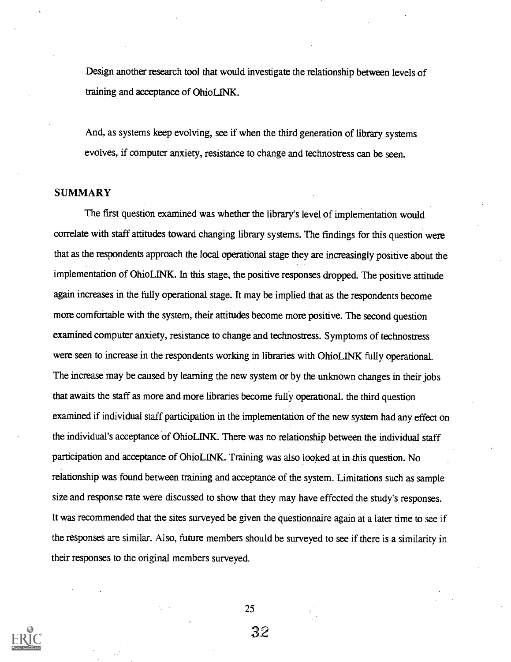Design another research tool that would investigate the relationship between levels of training and acceptance of OhioLINK.

And, as systems keep evolving, see if when the third generation of library systems evolves, if computer anxiety, resistance to change and technostress can be seen.

#### **SUMMARY**

The first question examined was whether the library's level of implementation would correlate with staff attitudes toward changing library systems. The findings for this question were that as the respondents approach the local operational stage they are increasingly positive about the implementation of OhioLINK. In this stage, the positive responses dropped. The positive attitude again increases in the fully operational stage. It may be implied that as the respondents become more comfortable with the system, their attitudes become more positive. The second question examined computer anxiety, resistance to change and technostress. Symptoms of technostress were seen to increase in the respondents working in libraries with OhioLINK fully operational. The increase may be caused by learning the new system or by the unknown changes in their jobs that awaits the staff as more and more libraries become fully operational. the third question examined if individual staff participation in the implementation of the new system had any effect on the individual's acceptance of OhioLINK. There was no relationship between the individual staff participation and acceptance of OhioLINK. Training was also looked at in this question. No relationship was found between training and acceptance of the system. Limitations such as sample size and response rate were discussed to show that they may have effected the study's responses. It was recommended that the sites surveyed be given the questionnaire again at a later time to see if the responses are similar. Also, future members should be surveyed to see if there is a similarity in their responses to the original members surveyed.



25

32

子.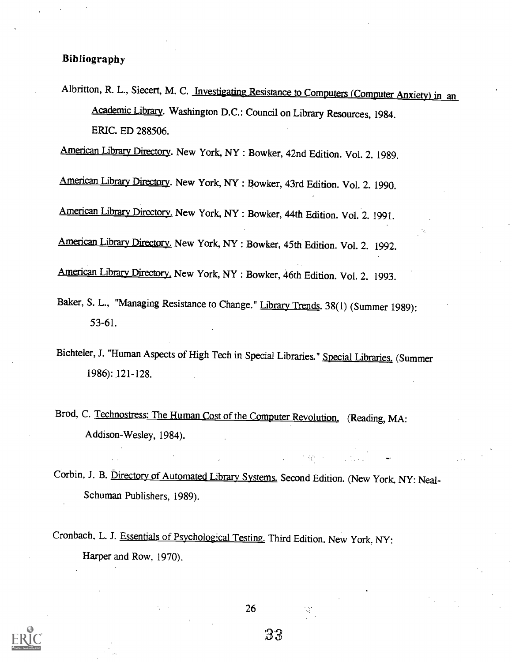#### Bibliography

Albritton, R. L., Siecert, M. C. Investigating Resistance to Computers (Computer Anxiety) in an Academic Library. Washington D.C.: Council on Library Resources, 1984. ERIC. ED 288506.

American Library Directory. New York, NY : Bowker, 42nd Edition. Vol. 2. 1989.

American Library Directory. New York, NY : Bowker, 43rd Edition. Vol. 2. 1990.

American Library Directory. New York, NY : Bowker, 44th Edition. Vol. 2. 1991.

American Library Directory. New York, NY : Bowker, 45th Edition. Vol. 2. 1992.

American Library Directory. New York, NY : Bowker, 46th Edition. Vol. 2. 1993.

- Baker, S. L., "Managing Resistance to Change." Library Trends. 38(1) (Summer 1989): 53-61.
- Bichteler, J. "Human Aspects of High Tech in Special Libraries." Special Libraries. (Summer 1986): 121-128.
- Brod, C. Technostress: The Human Cost of the Computer Revolution. (Reading, MA: Addison-Wesley, 1984).
- Corbin, J. B. Directory of Automated Library Systems. Second Edition. (New York, NY: Neal-Schuman Publishers, 1989).

**The Stage** 

 $\mathbb{R}^n$ 

Cronbach, L. J. Essentials of Psychological Testing. Third Edition. New York, NY: Harper and Row, 1970).

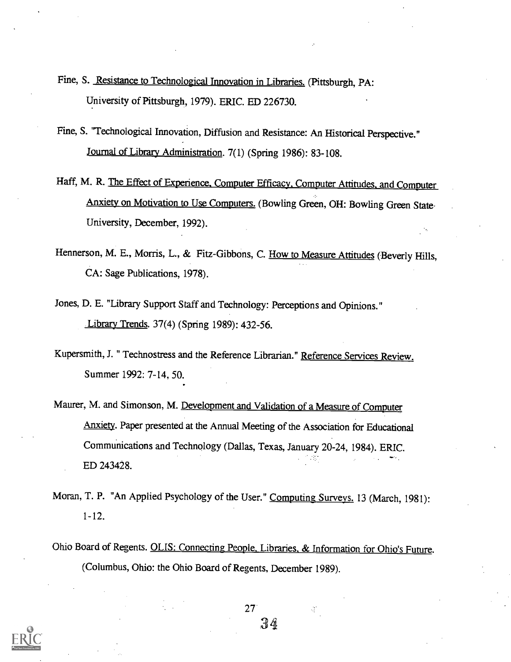- Fine, S. Resistance to Technological Innovation in Libraries. (Pittsburgh, PA: University of Pittsburgh, 1979). ERIC. ED 226730.
- Fine, S. "Technological Innovation, Diffusion and Resistance: An Historical Perspective." Journal of Library Administration. 7(1) (Spring 1986): 83-108.
- Haff, M. R. The Effect of Experience. Computer Efficacy, Computer Attitudes, and Computer Anxiety on Motivation to Use Computers. (Bowling Green, OH: Bowling Green State. University, December, 1992).
- Hennerson, M. E., Morris, L., & Fitz-Gibbons, C. How to Measure Attitudes (Beverly Hills, CA: Sage Publications, 1978).
- Jones, D. E. "Library Support Staff and Technology: Perceptions and Opinions." Library Trends. 37(4) (Spring 1989): 432-56.
- Kupersmith, J. " Technostress and the Reference Librarian." Reference Services Review. Summer 1992: 7-14, 50.
- Maurer, M. and Simonson, M. Development and Validation of a Measure of Computer Anxiety. Paper presented at the Annual Meeting of the Association for Educational Communications and Technology (Dallas, Texas, January 20-24, 1984). ERIC. ED 243428.
- Moran, T. P. "An Applied Psychology of the User." Computing Surveys. 13 (March, 1981): 1-12.
- Ohio Board of Regents. OLIS: Connecting People, Libraries, & Information for Ohio's Future. (Columbus, Ohio: the Ohio Board of Regents, December 1989).



27 34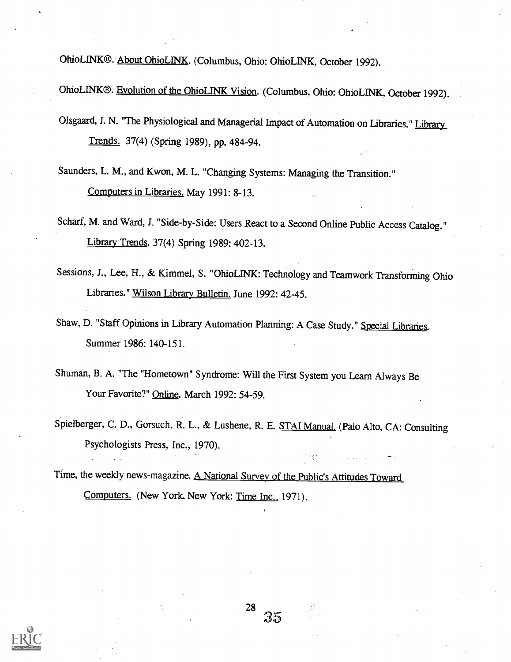OhioLINK®. About OhioLINK. (Columbus, Ohio: OhioLINK, October 1992).

OhioLINK®. Evolution of the OhioLINK Vision. (Columbus, Ohio: OhioLINK, October 1992).

- Olsgaard, J. N. "The Physiological and Managerial Impact of Automation on Libraries." Library Trends. 37(4) (Spring 1989), pp. 484-94.
- Saunders, L. M., and Kwon, M. L. "Changing Systems: Managing the Transition." Computers in Libraries. May 1991: 8-13.
- Scharf, M. and Ward, J. "Side-by-Side: Users React to a Second Online Public Access Catalog." Library Trends. 37(4) Spring 1989: 402-13.
- Sessions, J., Lee, H., & Kimmel, S. "OhioLINK: Technology and Teamwork Transforming Ohio Libraries." Wilson Library Bulletin. June 1992: 42-45.
- Shaw, D. "Staff Opinions in Library Automation Planning: A Case Study." Special Libraries. Summer 1986: 140-151.
- Shuman, B. A. "The "Hometown" Syndrome: Will the First System you Learn Always Be Your Favorite?" Online. March 1992: 54-59.
- Spielberger, C. D., Gorsuch, R. L., & Lushene, R. E. STAI Manual. (Palo Alto, CA: Consulting Psychologists Press, Inc., 1970).

Time, the weekly news-magazine. A National Survey of the Public's Attitudes Toward Computers. (New York, New York: Time Inc., 1971).

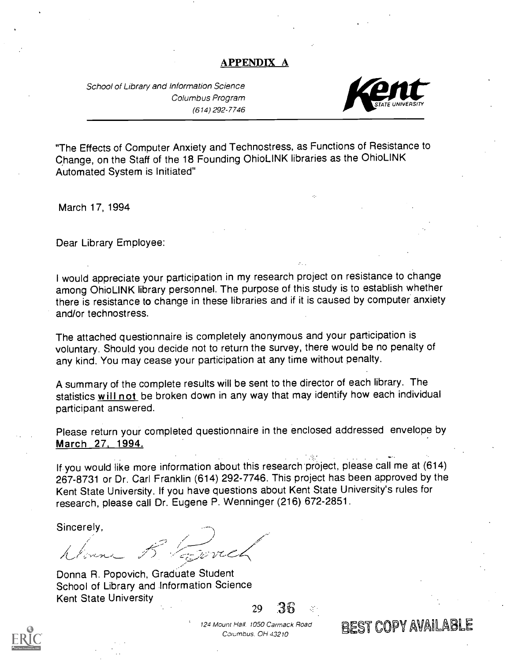#### APPENDIX A

School of Library and Information Science Columbus Program (614) 292-7746



"The Effects of Computer Anxiety and Technostress, as Functions of Resistance to Change, on the Staff of the 18 Founding OhioLINK libraries as the OhioLINK Automated System is Initiated"

March 17, 1994

Dear Library Employee:

I would appreciate your participation in my research project on resistance to change among OhioLINK library personnel. The purpose of this study is to establish whether there is resistance to change in these libraries and if it is caused by computer anxiety and/or technostress.

The attached questionnaire is completely anonymous and your participation is voluntary. Should you decide not to return the survey, there would be no penalty of any kind. You may cease your participation at any time without penalty.

A summary of the complete results will be sent to the director of each library. The statistics will not be broken down in any way that may identify how each individual participant answered.

Please return your completed questionnaire in the enclosed addressed envelope by March 27, 1994.

If you would like more information about this research project, please call me at (614) 267-8731 or Dr. Carl Franklin (614) 292-7746. This project has been approved by the Kent State University. If you have questions about Kent State University's rules for research, please call Dr. Eugene P. Wenninger (216) 672-2851.

Sincerely,

سيسسب<br>زرق - در

Donna R. Popovich, Graduate Student School of Library and Information Science Kent State University <sup>29</sup> .36



124 Mount Hall. 1050 Carmack Road

 $C$ olumbus. OH 43210<br>Columbus. OH 43210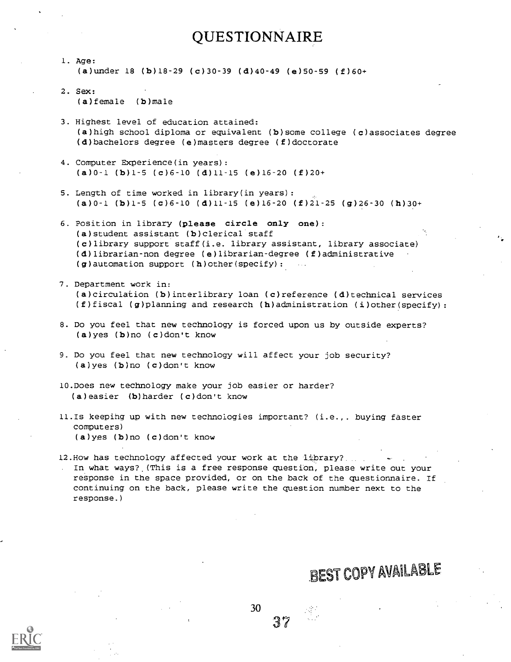# QUESTIONNAIRE

- 1. Age: (a)under 18 (b)18-29 (c)30-39 (d)40-49 (e)50-59 (f)60+
- 2. Sex: (a)female (b)male
- 3. Highest level of education attained: (a)high school diploma or equivalent (b)some college (c)associates degree (d)bachelors degree (e)masters degree (f)doctorate
- 4. Computer Experience(in years): (a)0-1 (b)1-5 (c)6-10 (d)11-15 (e)16-20 (f)20+
- 5. Length of time worked in library(in years): (a)0-1 (b)1-5 (c)6-10 (d)11-15 (e)16-20 (f)21-25 (g)26-30 (h)30+
- 6. Position in library (please circle only one): (a)student assistant (b)clerical staff (c)library support staff(i.e. library assistant, library associate) (d)librarian-non degree (e)librarian-degree (f)administrative  $(g)$  automation support  $(h)$  other(specify):
- 7. Department work in: (a)circulation (b)interlibrary loan (c)reference (d)technical services (f)fiscal (g)planning and research (h)administration (i)other(specify):
- 8. Do you feel that new technology is forced upon us by outside experts? (a)yes (b)no (c)don't know
- 9. Do you feel that new technology will affect your job security? (a)yes (b)no (c)don't know
- 10.Does new technology make your job easier or harder? (a)easier (b)harder (c)don't know
- 11.Is keepihg up with new technologies important? (i.e.,. buying faster computers) (a)yes (b)no (c)don't know
- 12.How has technology affected your work at the Library?. . In what ways? (This is a free response question, please write out your response in the space provided, or on the back of the questionnaire. If continuing on the back, please write the question number next to the response.)

30

# **BEST COPY AVAILABLE**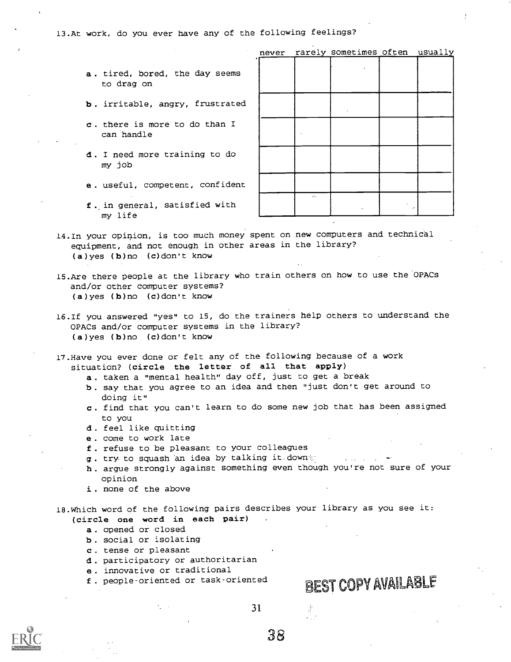13.At work, do you ever have any of the following feelings?

- a. tired, bored, the day seems to drag on
- b. irritable, angry, frustrated
- c. there is more to do than I can handle
- d. I need more training to do my job
- e . useful, competent, confident
- f . in general, satisfied with my life

|                            | never rarely sometimes often usually |  |
|----------------------------|--------------------------------------|--|
|                            |                                      |  |
|                            |                                      |  |
|                            |                                      |  |
|                            |                                      |  |
|                            |                                      |  |
|                            |                                      |  |
|                            |                                      |  |
|                            |                                      |  |
|                            |                                      |  |
|                            |                                      |  |
|                            |                                      |  |
|                            |                                      |  |
|                            |                                      |  |
|                            |                                      |  |
|                            |                                      |  |
| $\mathcal{L}_{\mathbf{a}}$ |                                      |  |
|                            |                                      |  |
|                            |                                      |  |

14.In your opinion, is too much money spent on new computers and technical equipment, and not enough in other areas in the library? (a)yes (b)no (c)don't know

- 15.Are there people at the library who train others on how to use the OPACs and/or other computer systems? (a)yes (b)no (c)don't know
- 16.If you answered "yes" to 15, do the trainers help others to understand the OPACs and/or computer systems in the library? (a)yes (b)no (c)don't know
- 17.Have you ever done or felt any of the following because of a work situation? (circle the letter of all that apply)
	- a. taken a "mental health" day off, just to get a break
	- b. say that you agree to an idea and then "just don't get around to doing it"
	- c. find that you can't learn to do some new job that has been assigned to you
	- d . feel like quitting
	- e , come to work late
	- f . refuse to be pleasant to your colleagues
	- g. try to squash an idea by talking it down
	- h . argue strongly against something even though you're not sure of your opinion
	- i. none of the above

18.Which word of the following pairs describes your library as you see it: (circle one word in each pair)

- a. opened or closed
- b. social or isolating
- c. tense or pleasant
- d . participatory or authoritarian
- e . innovative or traditional
- 

# f. people-oriented or task-oriented BEST COPY AVAILABLE



31

 $\frac{1}{2}$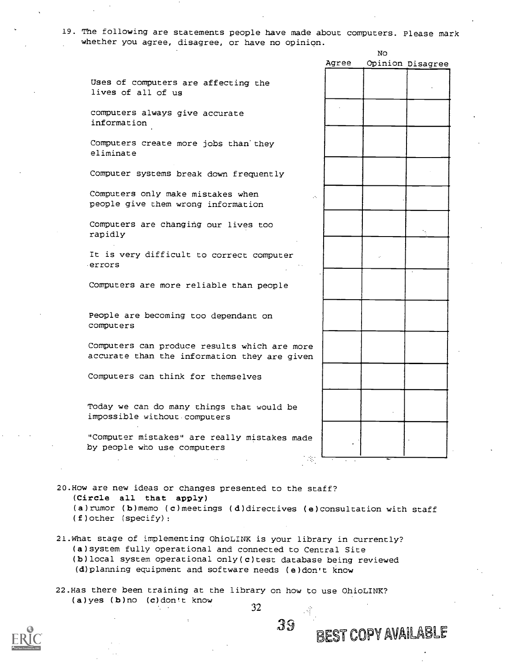19. The following are statements people have made about computers. Please mark whether you agree, disagree, or have no opinion.

No

|                                                                                              | Agree                       | Opinion Disagree |
|----------------------------------------------------------------------------------------------|-----------------------------|------------------|
| Uses of computers are affecting the<br>lives of all of us                                    |                             |                  |
| computers always give accurate<br>information                                                |                             |                  |
| Computers create more jobs than they<br>eliminate                                            |                             |                  |
| Computer systems break down frequently                                                       |                             |                  |
| Computers only make mistakes when<br>people give them wrong information                      | $\mathcal{L}_{\mathcal{A}}$ |                  |
| Computers are changing our lives too<br>rapidly                                              |                             |                  |
| It is very difficult to correct computer<br>errors                                           |                             |                  |
| Computers are more reliable than people                                                      |                             |                  |
| People are becoming too dependant on<br>computers                                            |                             |                  |
| Computers can produce results which are more<br>accurate than the information they are given |                             |                  |
| Computers can think for themselves                                                           |                             |                  |
| Today we can do many things that would be<br>impossible without computers                    |                             |                  |
| "Computer mistakes" are really mistakes made<br>by people who use computers                  | -32                         |                  |

(Circle all that apply) (a)rumor (b)memo (c)meetings (d)directives (e)consultation with staff (f)other (specify):

21.What stage of implementing OhioLINK is your library in currently? (a)system fully operational and connected to Central Site (b)local system operational only(c)test database being reviewed (d)planning equipment and software needs (e)don't know

22.Has there been training at the library on how to use OhioLINK? (a)yes (b)no (c)don't know



32

 $39$  present

BEST COPY AVAILABLE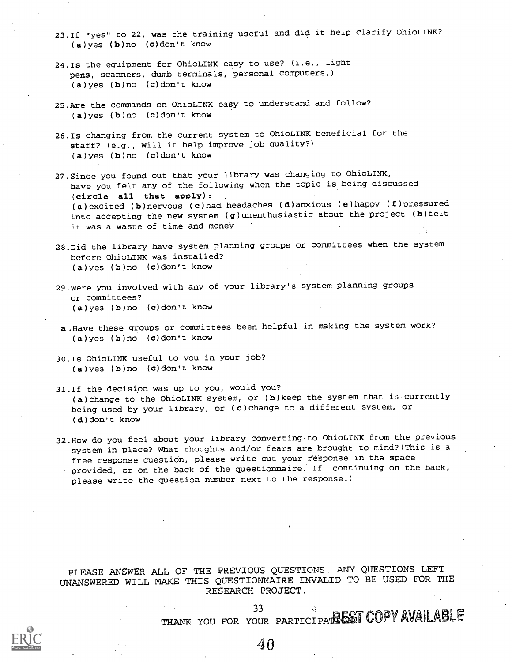- 23.If "yes" to 22, was the training useful and did it help clarify OhioLINK? (a)yes (b)no (c)don't know
- 24.Is the equipment for OhioLINK easy to use? (i.e., light pens, scanners, dumb terminals, personal computers,) (a)yes (b)no (c)don't know
- 25.Are the commands on OhioLINK easy to understand and follow? (a)yes (b)no (c)don't know
- 26.Is changing from the current system to OhioLINK beneficial for the staff? (e.g., Will it help improve job quality?) (a)yes (b)no (c)don't know
- 27.Since you found out that your library was changing to OhioLINK, have you felt any of the following when the topic is being discussed (circle all that apply): (a)excited (b)nervous (c)had headaches (d)anxious (e)happy (f)pressured into accepting the new system (g)unenthusiastic about the project (h)felt it was a waste of time and money
- 28.Did the library have system planning groups or committees when the system before OhioLINK was installed? (a)yes (b)no (c)don't know
- 29.Were you involved with any of your library's system planning groups or committees? (a)yes (b)no (c)don't know
- a .Have these groups or committees been helpful in making the system work? (a)yes (b)no (c)don't know
- 30.Is OhioLINK useful to you in your job? (a)yes (b)no (c)don't know
- 31.If the decision was up to you, would you? (a)change to the OhioLINK system, or (b)keep the system that is currently being used by your library, or (c)change to a different system, or (d)don't know
- 32.How do you feel about your library converting-to OhioLINK from the previous system in place? What thoughts and/or fears are brought to mind?(This is a free response question, please write out your response in the space provided, or on the back of the questionnaire. If continuing on the back, please write the question number next to the response.)

#### PLEASE ANSWER ALL OF THE PREVIOUS QUESTIONS. ANY QUESTIONS LEFT UNANSWERED WILL MAKE THIS QUESTIONNAIRE INVALID TO BE USED FOR THE RESEARCH PROJECT.

#### 33 THANK YOU FOR YOUR PARTICIPATHENT COPY AVAILABLE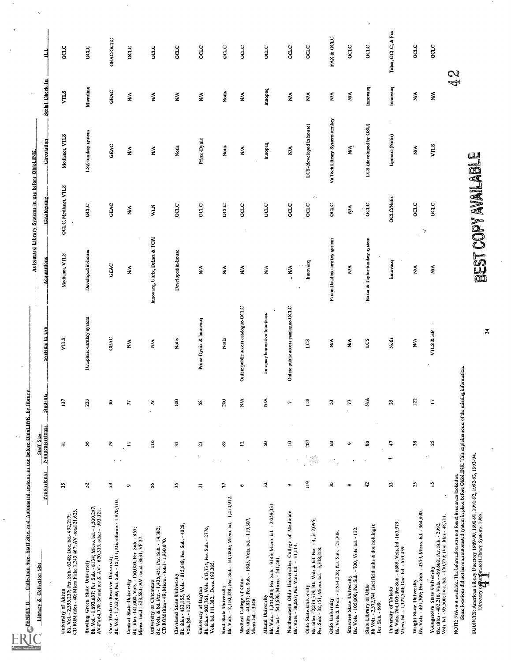| Library & Collection Size                                                                                                                                                                                  | <b>Englissional</b> Nonprofessional |                             |                    | Students.                 | Systems in Use                      | <b>Acquisitions</b>             | Automated Library Systems in use before OhioLINK.<br><b>Cataloguing</b> | Circulation.               | Serial Check-in                 | ╡                     |
|------------------------------------------------------------------------------------------------------------------------------------------------------------------------------------------------------------|-------------------------------------|-----------------------------|--------------------|---------------------------|-------------------------------------|---------------------------------|-------------------------------------------------------------------------|----------------------------|---------------------------------|-----------------------|
| University of Akron<br>Bk. Vol. - 2,393,237; Per. Sub.- 6248; Doc. bd.- 492,217;<br>CD ROM tiks. - 40; Micro Ficke 1,243.467; AV -total 21,625.                                                            | S,                                  |                             | $\rightleftarrows$ | 137                       | <b>VIILS</b>                        | Medianet, VTLS                  | OCLC, Medianet, VTLS                                                    | Medianet, VII.S            | $V\overline{1}$                 | ocuc                  |
| 8k, Vol. - 1,693,637; Per. Sub. - 8134; Micro, bd. - 1,509,297;<br>AV-F's 64,770; Sound rec & AV - 620,333, other - 993,321.<br>Bowling Green State University                                             | $\mathbf{z}$                        |                             | χ                  | 233                       | Dataphase-turniey system            | Developed in-house              | O(10)                                                                   | LSZ-turnkey system         | Microlinx                       | ouc                   |
| Case Western Reserve University<br>BE Vol. - 1,732,430; Per. Sub. - 15,311; Microfonus - 1,970,710.                                                                                                        | ຸ                                   |                             | R                  | Ŗ                         | <b>GEAC</b>                         | GEAC                            | GEAC                                                                    | GEAC                       | GEAC                            | <b>GEAC:OCLC</b>      |
| Central State University<br>Bk. (iks - 141,000, Vols. - 150,000; Fer. Sub. - 855;<br>Micro- (oad - 323,584; AV - total -3631, VF 27.                                                                       | $\bullet$                           |                             | Ξ                  | $\overline{r}$            | ⋚                                   | ⋚                               | $\sum_{i=1}^{n}$                                                        | ₹                          | ₹                               | ocuc                  |
| Bk. Vols. & bd. Per. - 1,435,451; Per. Sub. - 14,382;<br>CD ROM files - 49; Micro. - total - 1,930,070.<br>University of Cincinnati                                                                        | $\boldsymbol{\mathcal{S}}$          |                             | $\frac{1}{2}$      | æ<br>$\cdot$              | $\stackrel{\blacktriangle}{\ge}$    | Innovacq, Ultrix, Delnet & TCPI | W.N                                                                     | $\sum_{i=1}^{n}$           | $\boldsymbol{\hat{\mathsf{z}}}$ | ocuc                  |
| Cleveland State University<br>Bk. titles - 432,155, Vols. - 815,648; Per. Sub. - 4028,<br>Vols. bd. - 122,195.                                                                                             | 25                                  |                             | $\ddot{ }$         | $\overline{\mathbf{S}}$   | Notis                               | Developed in-house              | ocLC                                                                    | Notis                      | $\lessapprox$                   | ocuc                  |
| University of Dayton<br>Bk_tilas - 502,761, Vols. 643,734; Fer. Sub. - 2776,<br>Vols. bd. 111,382; Does. 193,385.                                                                                          | $\overline{\mathbf{c}}$             |                             | Я                  | $\boldsymbol{\mathsf{s}}$ | Prine-Dynix & Imovacq               | $\mathbf{x}^{\prime}$           | ocic                                                                    | Prins-Dynix                | ş                               | ocuc                  |
| Bk. Vols. - 2,110,328; Per. Sub. - 10,70000; Micro. bd. - 1,414,912.<br>Kent State University                                                                                                              | 5                                   | $\sim$                      | 3                  | Ŗ                         | Notis                               | $\mathop{\mathsf{M}}\nolimits$  | ocic                                                                    | Notis                      | Notia                           | 001C                  |
| Medial College of Ohio<br>Bk. üles - 44837; Per. Sub. - 1905, Vois. bd. - 119,307;<br>Micro. bd. - 3448.                                                                                                   | o                                   |                             | ā,                 | ≵                         | Online public access catalogue-OCLC | $\sum_{i=1}^{n}$                | ocic                                                                    | ≸                          | ₹                               | ocic                  |
| Bk. Vols. - 1,344,884; Per. Sub. - 9143; Micro. bd. - 2,059,331<br>Doc. bd. - 543,696, Micro. - 541,481.<br><b>Miami</b> University                                                                        | 25                                  |                             | χ                  | $\sum_{i=1}^{n}$          | innopaq-innovative interfaces       | $\sum_{i=1}^{n}$                | ocuc                                                                    | hudotul                    | pedomy                          | <b>CONG</b>           |
| Northeastern Ohio Universities College of Medicine<br>Bk. Vols. - 38,662; Per. Vols. bd. - 33,114.                                                                                                         | ۰                                   |                             | $\mathbf{S}$       | $\overline{ }$            | Online public access catalogue-OCLC | $\ddot{M}$                      | ocLC                                                                    | ₹                          | ≨                               | oac                   |
| Bk. titles - 2:274,379, Bk. Vols & bd. Per. - 4, 517,095;<br>Per. Sub: - 32,151, Micro. bd. - 3,378,218.<br>Ohio State University                                                                          | $\frac{1}{2}$                       | $\mathcal{G}_{\mathcal{G}}$ | ā                  | $\frac{32}{1}$            | S.7                                 | paround                         | $\cdot$<br>ocic                                                         | LCS-(developed in house)   | ≨                               | ocic                  |
| Bk. Vols. & Does. - 1,534,226; Per. Sub. - 21,308.<br>Ohio University                                                                                                                                      | ÷                                   |                             | 3                  | $\mathfrak{z}$            | $\frac{2}{3}$                       | Faxon Datalinx-turnley system   | <b>OCTO</b>                                                             | Valuation (System lumbey   | ≸<br>Ž                          | <b>FAX &amp; OCLC</b> |
| Shawnee State University<br>Bk. Vols. - 105,000; Per Sub. - 700, Vols. bd. - 132.                                                                                                                          | ō                                   |                             | $\bullet$          | $\overline{r}$            | ≨                                   | ≨                               | Ž.                                                                      | $\tilde{\mathbf{z}}$       | ≨                               | ocic                  |
| State Library of Ohio<br>Bk Vols. - 2,572,741 (incl field units & doc holdings);<br>Per. Sub. - 699.                                                                                                       | å                                   |                             | 38                 | $\frac{3}{2}$             | Ľ                                   | Baker & Taylor-turnley system   | $_{\text{occ}}$                                                         | LCS-(developed by OSU)     | traovacq                        | oche                  |
| University of Totedo<br>Bk. Vols. 764,103; Per Sub. - 6688, Vols. bd -167,979,<br>Micro. bd. - 1,322,340; Doc. bd. - 653,439.                                                                              | Э                                   |                             | 9                  | $\ddot{\mathbf{a}}$       | Notis                               | provach                         | <b>OCLC/Notis</b>                                                       | $\gamma$<br>Upmost-(Notis) | Imovacq                         | Telex, OCLC, A Fax    |
| Bk. Vols. - 491,309; Per. Sub. - 4379; Micro. bd. - 964,890.<br>Wright State University                                                                                                                    | υ                                   |                             | 꼮                  | 122                       | ₹                                   | ⋚                               | oac<br>þ,                                                               | ≨                          | ₹                               | ocuc                  |
| Youngstown State University<br>BE titles - 402,218, Vols. - 499,680; Per. Sub. - 2992;<br>Vols bd. - 95,300; Doc. bd. - 170,779; Doctitles - 48,711.                                                       | ⋍                                   | à,                          | ă                  | $\mathbf{L}$              | VILS & HP                           | Ş                               | oq.c                                                                    | VILS                       | $\tilde{\mathbf{z}}$            | ocnc                  |
| NOTE: N/A-not uvailable. The information was not found in sources looked at.<br>Some locations did not have an automated system in place before Ohiol INK. This explains soure of the missing information. |                                     |                             |                    |                           |                                     |                                 |                                                                         |                            | 42<br>2                         |                       |
| SOUNCESS: American Library Discotory 1989-90, 1990-91, 1991-92, 1992-93, 1993-94.<br>Discotory of American Library Systems, 1989.<br>And The Control of American Library Systems, 1989.                    |                                     |                             |                    |                           | $\overline{\mathbf{3}}$             |                                 | BEST COPY AVAILABLE                                                     |                            |                                 |                       |
|                                                                                                                                                                                                            |                                     |                             |                    |                           |                                     |                                 |                                                                         |                            |                                 |                       |
|                                                                                                                                                                                                            |                                     |                             |                    |                           |                                     |                                 |                                                                         |                            |                                 |                       |
|                                                                                                                                                                                                            |                                     |                             |                    |                           |                                     |                                 |                                                                         |                            |                                 |                       |
|                                                                                                                                                                                                            |                                     |                             |                    |                           |                                     |                                 |                                                                         |                            |                                 |                       |

 $\hat{\gamma}$ 

 $\ddot{\phantom{0}}$ 

 $\ddot{\phantom{0}}$ 

 $\ddot{\phantom{0}}$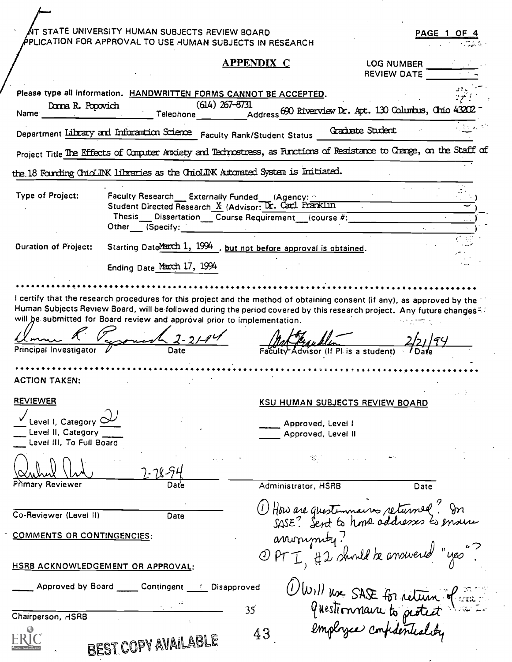|                                                                                          | $\Lambda$ t state university human subjects review board<br>PPLICATION FOR APPROVAL TO USE HUMAN SUBJECTS IN RESEARCH                                                                                      |                     |                                                                                                                    |                                  | PAGE 1 OF 4              |
|------------------------------------------------------------------------------------------|------------------------------------------------------------------------------------------------------------------------------------------------------------------------------------------------------------|---------------------|--------------------------------------------------------------------------------------------------------------------|----------------------------------|--------------------------|
|                                                                                          |                                                                                                                                                                                                            | <b>APPENDIX C</b>   |                                                                                                                    | LOG NUMBER<br><b>REVIEW DATE</b> |                          |
| Donna R. Popovich<br>Name:                                                               | Please type all information. HANDWRITTEN FORMS CANNOT BE ACCEPTED.<br>$(614)$ 267-8731<br>Telephone __ ____                                                                                                |                     | $\widetilde{\phantom{a}}_{\rm Address}$ 690 Riverview Dr. Apt. 130 Columbus, Chric 43202 $\widetilde{\phantom{a}}$ |                                  |                          |
|                                                                                          | Department Library and Information Science Faculty Rank/Student Status                                                                                                                                     |                     | Graduate Student                                                                                                   |                                  | $\sim 1000$ km s $^{-1}$ |
|                                                                                          | Project Title The Effects of Computer Anxiety and Technostress, as Functions of Resistance to Change, on the Staff of                                                                                      |                     |                                                                                                                    |                                  |                          |
|                                                                                          | the 18 Founding ChioLDK libraries as the ChioLDK Automated System is Initiated.                                                                                                                            |                     |                                                                                                                    |                                  |                          |
| Type of Project:                                                                         | Faculty Research __ Externally Funded (Agency: 4)<br>Student Directed Research X (Advisor: Dr. Carl FrankLin<br>Thesis Dissertation Course Requirement (course #:<br>Other (Specify:                       |                     |                                                                                                                    |                                  |                          |
| <b>Duration of Project:</b>                                                              | Starting DateMarch 1, 1994, but not before approval is obtained.                                                                                                                                           |                     |                                                                                                                    |                                  |                          |
|                                                                                          | Ending Date March 17, 1994                                                                                                                                                                                 |                     |                                                                                                                    |                                  |                          |
|                                                                                          |                                                                                                                                                                                                            |                     |                                                                                                                    |                                  |                          |
| Principal Investigator                                                                   | Human Subjects Review Board, will be followed during the period covered by this research project. Any future changes<br>will be submitted for Board review and approval prior to implementation.<br>1.2194 |                     | Advisor (If PI is a student)                                                                                       |                                  |                          |
| <b>ACTION TAKEN:</b>                                                                     |                                                                                                                                                                                                            |                     |                                                                                                                    |                                  |                          |
| <b>REVIEWER</b><br>Level I, Category C<br>Level II, Category<br>Level III, To Full Board |                                                                                                                                                                                                            |                     | <b>KSU HUMAN SUBJECTS REVIEW BOARD</b><br>Approved, Level I<br>Approved, Level II                                  |                                  |                          |
| Primary Reviewer                                                                         |                                                                                                                                                                                                            | Administrator, HSRB | $\mathcal{H}_{\mathrm{c}}$ .                                                                                       | Date                             |                          |
| Co-Reviewer (Level II)                                                                   | Date                                                                                                                                                                                                       |                     | (1) How are questionnaires returned? In                                                                            |                                  |                          |
| <b>COMMENTS OR CONTINGENCIES:</b>                                                        |                                                                                                                                                                                                            |                     | arronymty.                                                                                                         |                                  |                          |
| HSRB ACKNOWLEDGEMENT OR APPROVAL:                                                        |                                                                                                                                                                                                            |                     | OPTI, #2 should be answered "yes                                                                                   |                                  |                          |
|                                                                                          | Approved by Board ______ Contingent ______ Disapproved                                                                                                                                                     |                     | OWILL USE for return of                                                                                            |                                  |                          |
| Chairperson, HSRB                                                                        |                                                                                                                                                                                                            | 35                  |                                                                                                                    |                                  |                          |
|                                                                                          |                                                                                                                                                                                                            | 43                  |                                                                                                                    |                                  |                          |

| REST |
|------|

 $\overline{\phantom{a}}$ 

 $\bigg/$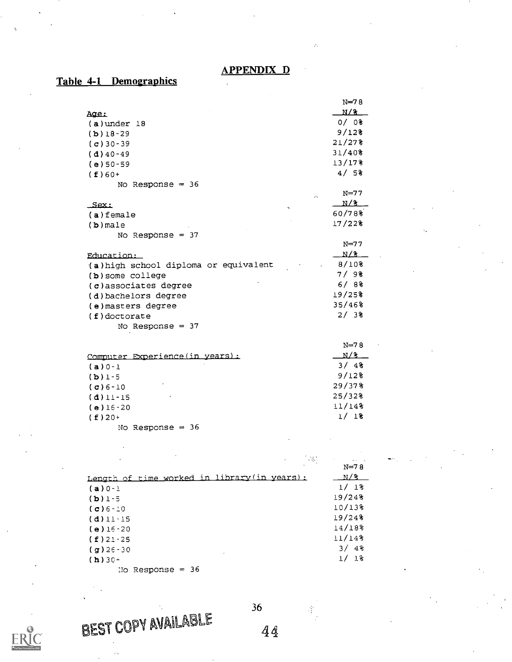### APPENDIX D

# Table 4-1 Demographics

|                                       | $N=78$              |
|---------------------------------------|---------------------|
| Age:                                  | N/3                 |
| $(a)$ under 18                        | $0/0$ $0$           |
| $(b)$ 18-29                           | 9/12                |
| $(c)$ 30 - 39                         | 21/278              |
| $(d)$ 40-49                           | 31/408              |
| $(e) 50 - 59$                         | 13/17%              |
| $(f)60+$                              | 4/5%                |
| No Response $=$ 36                    |                     |
| $\mathcal{L}_{\mathcal{A}}$           | $N=77$              |
| Sex:                                  | N/3                 |
| 7<br>$(a)$ female                     | 60/78%              |
| $(b)$ male                            | 17/22%              |
| No Response = $37$                    |                     |
|                                       | $N=77$              |
| Education:                            | N/3                 |
| (a) high school diploma or equivalent | 8/10%               |
| (b) some college                      | 7/98                |
| (c)associates degree                  | 6/88                |
| (d) bachelors degree                  | 19/25%              |
| (e) masters degree                    | 35/46%              |
| $(f)$ doctorate                       | 2/38                |
| No Response $=$ 37                    |                     |
|                                       |                     |
|                                       | $N=78$              |
| Computer Experience (in years):       | N/3                 |
| $(a) 0 - 1$                           | 3/48                |
| $(b)$ 1-5                             | $9/12$ <sup>8</sup> |
| $(c) 6 - 10$                          | $29/37$ $%$         |
| $(d)$ 11-15                           | 25/32%              |
| $(e) 16 - 20$                         | 11/148              |
| $(f)$ 20+                             | 1/18                |
| No Response $=$ 36                    |                     |
|                                       |                     |

| $\bullet$                                    | $\sim 10$<br><b>Contractor</b> |
|----------------------------------------------|--------------------------------|
|                                              | $N = 78$                       |
| Length of time worked in library (in years): | N/3                            |
| $(a) 0 - 1$                                  | 1/18                           |
| $(D)$ 1 - 5                                  | 19/248                         |
| $(C) 6 - 10$                                 | $10/13$ <sup>8</sup>           |
| $(d)$ 11 - 15                                | 19/248                         |
| $(e)$ 16 - 20                                | $14/18$ <sup>2</sup>           |
| $(f)$ 21 - 25                                | 11/14%                         |
| $(g)$ 26 - 30                                | 3/4                            |
| $(h)$ 30+                                    | 1/18                           |
| $\frac{1}{2}$ December - $\frac{1}{2}$       |                                |

No Response

BEST COPY AVAILABLE 36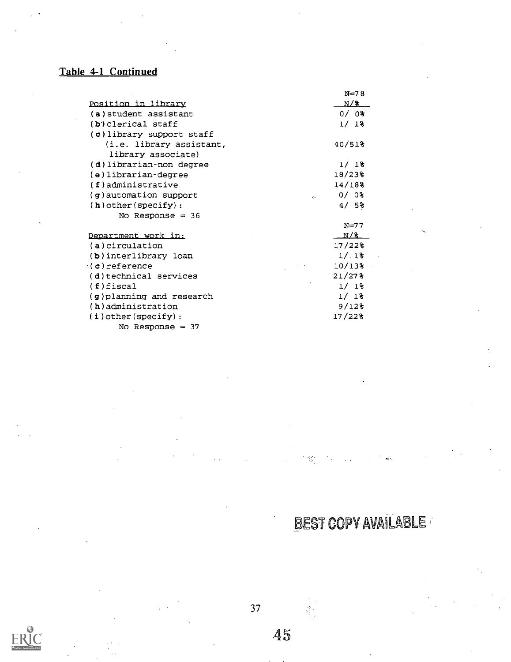# Table 4-1 Continued

|                            | $N=78$             |
|----------------------------|--------------------|
| <u>Position in library</u> | N/3                |
| (a) student assistant      | $0/0$ $0$          |
| $(b)$ clerical staff       | 1/18               |
| (c) library support staff  |                    |
| (i.e. library assistant,   | 40/518             |
| library associate)         |                    |
| (d) librarian-non degree   | 1/18               |
| (e)librarian-degree        | 18/23%             |
| $(f)$ administrative       | 14/18              |
| $(g)$ automation support   | $0/0$ $0$<br>49.   |
| $(h)$ other (specify):     | 4/58               |
| No Response $=$ 36         |                    |
|                            | $N=77$             |
| Department work in:        | N/3                |
| (a) circulation            | $17/22$ $%$        |
| (b) interlibrary loan      | 1/18               |
| $(c)$ reference            | $10/13$ $^{\circ}$ |
| (d)technical services      | $21/27$ $%$        |
| $(f)$ fiscal               | 1/18               |
| (g)planning and research   | 1/18               |
| (h) administration         | 9/12               |
| $(i)$ other (specify):     | 17/22%             |
| No Response $=$ 37         |                    |

BEST COPY AVAILABLE

**ERIC** 

37

 $45\,$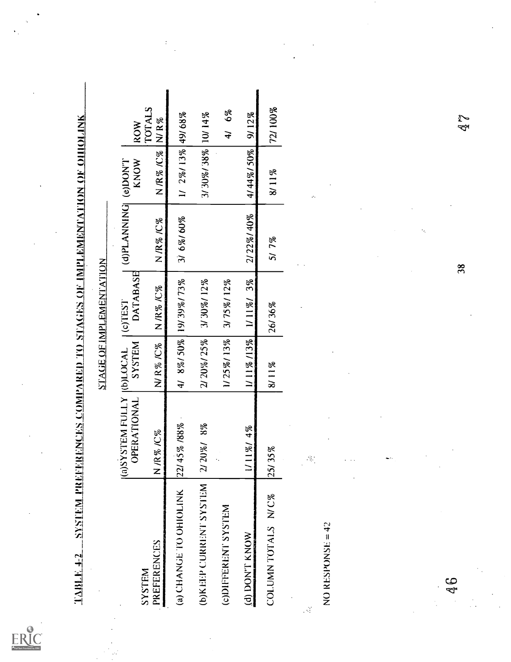$ER_{\text{M}}^{\text{O}}$ 

| $1\Delta B L$ F, 4-2      | <u>station of ohioline and the important and also stations of importance and meats station.</u> |                           |                                |                      |              |                        |
|---------------------------|-------------------------------------------------------------------------------------------------|---------------------------|--------------------------------|----------------------|--------------|------------------------|
|                           |                                                                                                 |                           | <b>STAGE OF IMPLEMENTATION</b> |                      |              |                        |
| <b>SYSTEM</b>             | <b>IGSYSTEM FULLY</b><br><b>OPERATIONAL</b>                                                     | SYSTEM<br><b>IRDITION</b> | DATABASE<br>$(c)$ TEST         | TMOU(e) [DNINNA_d(b) | KNOW         | TOTALS<br><b>ROW</b>   |
| <b>PREFERENCES</b>        | <b>R%IC%</b><br>$\overline{z}$                                                                  | NR% /C%                   | NR%KC%                         | NR%KC%               | N /R% /C%    | N/R%                   |
| (a) CHANGE TO OHIOLINK    | 22/45% /88%                                                                                     | 4/ 8%/50%                 | 19/39%/73%                     | 3/ 6%/ 60%           | $1/2\%/13\%$ | 49/68%                 |
| WELLS AS LINE DRIVING (G) | 20%/ 8%<br>$\widetilde{\mathcal{L}}$                                                            | 2/20%/25%                 | 3/30%/12%                      |                      | 3/30%/38%    | 10/14%                 |
| (c)DIFFERENT SYSTEM       | Ι,                                                                                              | 1/25%/13%                 | 3/75%/12%                      |                      |              | $6\%$<br>$\frac{1}{4}$ |
| <b>WONT KNOW</b>          | $1/11\%$ / 4%                                                                                   | 1/11%/13%                 | 1/11%/3%                       | 2/22%/40%            | 4/44%/50%    | 9/12%                  |
| COLUMN TOTALS N/C%        | 35%<br>$\overline{25}$                                                                          | 8/11%                     | 26/36%                         | 5/7%                 | 8/11%        | 72/100%                |
| NO RESPONSE = 42          | $\mathbb{R}^3$                                                                                  |                           |                                |                      |              |                        |
|                           |                                                                                                 |                           |                                |                      |              |                        |
|                           |                                                                                                 |                           |                                |                      |              |                        |
|                           |                                                                                                 |                           |                                | ÷,                   |              |                        |
| e<br>4                    |                                                                                                 |                           |                                | 38                   |              | <b>A</b><br>P          |
|                           |                                                                                                 |                           |                                |                      |              |                        |
|                           |                                                                                                 |                           |                                |                      |              |                        |
|                           |                                                                                                 |                           |                                |                      |              |                        |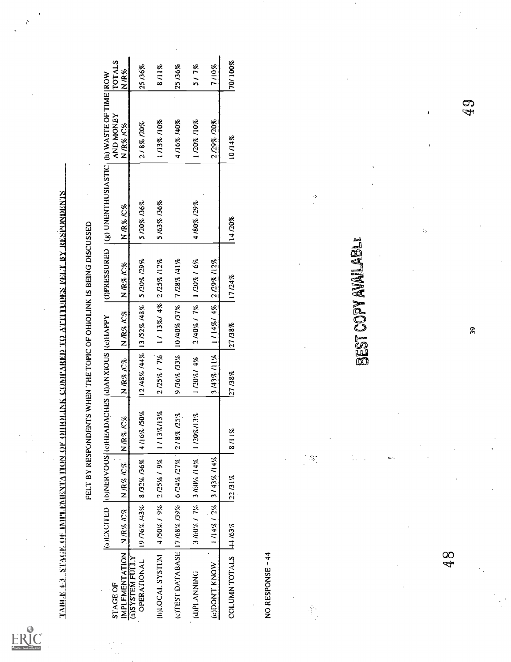$ER_{\overline{\mathcal{C}}}^{\bullet}$ 

 $\mathcal{E}$ 

 $\frac{1}{2}$ 

|                                                      |                   |                         | <u>TABER 1983 YA TATAGI GE INIPERDIKI YILON ON OHIOLINK COMPARED TO ATTITUDES FELT BY RESPONDENTS </u><br>FELT BY RESPONDENTS WHEN THE TOPIC OF OHIOLINK IS BEING DISCUSSED |                         |                  |                     |                                          |                      |                |
|------------------------------------------------------|-------------------|-------------------------|-----------------------------------------------------------------------------------------------------------------------------------------------------------------------------|-------------------------|------------------|---------------------|------------------------------------------|----------------------|----------------|
|                                                      | (a)EXCITED        |                         | (b)NERVOUS (c)HEADACHES (d)ANXIOUS (c)HAPPY                                                                                                                                 |                         |                  | (OPRESSURED)        | (g) UNENTHUSIASTIC (h) WASTE OF TIME ROW |                      |                |
| <b>IMPLEMENTATION</b><br>(a)SYSTEM FULLY<br>STAGE OF | N / $R\%$ /C $\%$ | <b>NR%/C%</b>           | $N$ R% $C\%$                                                                                                                                                                | NR% $/2\%$              | <b>NR%C%</b>     | NR% IC%             | NR% /C%                                  | AND MONEY<br>N/R%/C% | TOTALS<br>N/R% |
| OPERATIONAL                                          | 19776% 143%       | 8/32% / 36%             | 4/16% /50%                                                                                                                                                                  | 12/48% /44% 13/52% /48% |                  | 5/20% /29%          | 5/20% /36%                               | 2/8%/20%             | 25 /36%        |
| (b)LOCAL SYSTEM                                      | 4/50% / 9%        | 2/25%/9%                | 1713%/13%                                                                                                                                                                   | 2/25%/7%                | $1/13\%/4\%$     | 2/25%/12%           | 5/63% /36%                               | 1/13% /10%           | 8/11%          |
| (c)TEST DATABASE 17/68% /39%                         |                   | 6/24%/27%               | 2/8% /25%                                                                                                                                                                   | 9/36% /33%              | 10/40% /37%      | 7/28%/41%           |                                          | 4/16% 140%           | 25 / 36%       |
| (J)PLANNING                                          |                   | 3 /60% / 7% 3 /60% /14% | 1/20%/13%                                                                                                                                                                   | 1/20%/ 4%               | $2/40\%$ / $7\%$ | 1720% / 6%          | 4/80% /29%                               | 1/20% /10%           | 517%           |
| (c)DON'T KNOW                                        | $1/14\%$ / 2%     | 3/43%/14%               |                                                                                                                                                                             | 3/43%/11%               | $1/14\%/4\%$     | 2 /29% /12%         |                                          | 2/29%/20%            | 7/10%          |
| COLUMN TOTALS                                        | 144/63%           | $22.61\%$               | 8/11%                                                                                                                                                                       | 27/38%                  | 27 / 38%         | 17/24%              | 14/20%                                   | 10/14%               | 70/100%        |
| NO RESPONSE = 44                                     |                   |                         |                                                                                                                                                                             |                         |                  |                     |                                          |                      |                |
|                                                      |                   |                         |                                                                                                                                                                             |                         |                  |                     |                                          |                      |                |
| ĝ.                                                   |                   | $\mathcal{H}$           |                                                                                                                                                                             |                         |                  |                     | ÷,                                       |                      |                |
|                                                      |                   |                         |                                                                                                                                                                             |                         |                  | BEST COPY AVAILABLE |                                          |                      |                |
|                                                      |                   |                         |                                                                                                                                                                             |                         |                  |                     |                                          |                      |                |
|                                                      |                   |                         |                                                                                                                                                                             |                         |                  |                     |                                          |                      |                |
|                                                      |                   |                         |                                                                                                                                                                             |                         |                  |                     | $\mathbb{I}_p$                           | J                    |                |
| 00<br>작                                              |                   |                         |                                                                                                                                                                             |                         |                  |                     |                                          |                      |                |
|                                                      |                   |                         |                                                                                                                                                                             |                         | $\mathfrak{S}$   |                     |                                          | 49                   |                |
|                                                      |                   |                         |                                                                                                                                                                             |                         |                  |                     |                                          |                      |                |
|                                                      |                   |                         |                                                                                                                                                                             |                         |                  |                     |                                          |                      |                |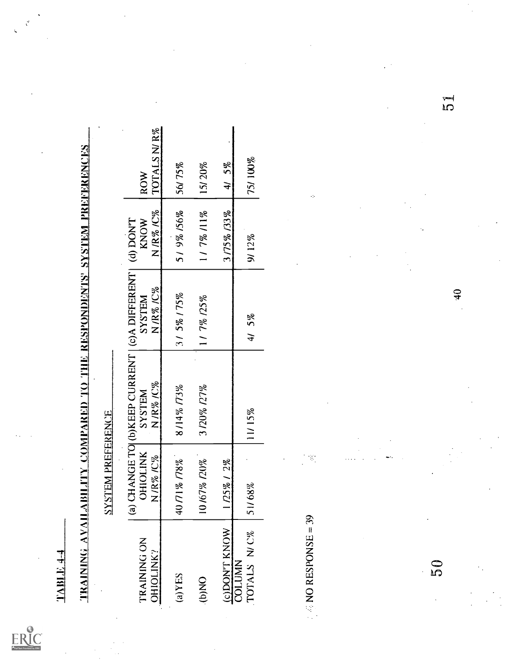$ERIC$ 

| <b>TRAINING AVAILABILIT</b><br>$1.4 - 4$ |                                | Y COMPARED TO THE RESPONDENTS' SYSTEM PREFERENCES                     |                           |                                     |                          |         |
|------------------------------------------|--------------------------------|-----------------------------------------------------------------------|---------------------------|-------------------------------------|--------------------------|---------|
|                                          | <b>SYSTEM PREFERENCE</b>       |                                                                       |                           |                                     |                          |         |
| TRAINING ON<br>OHIOLINK?                 | <b>OHIOLINK</b><br>IC%<br>N/R% | (a) CHANGE TO (b)KEEP CURRENT   (c)A DIFFERENT  <br>N/R%/C%<br>SYSTEM | N/R%/C%<br><b>NELISAS</b> | $N$ /R% /C%<br>$T$ NOCI (b)<br>KNOW | TOTALSN/R%<br><b>ROW</b> |         |
| (a)YES                                   | 4071%778%                      | 8/14% 773%                                                            | 31 5% 175%                | 5/9%/56%                            | 56/75%                   |         |
| ON(q).                                   | 10/67% /20%                    | 3/20% /27%                                                            | 1/7% /25%                 | 117%/11%                            | 15/20%                   |         |
| (c)DON'T KNOW                            | $2\%$<br>1/25%                 |                                                                       |                           | 3/75% /33%                          | 5%<br>$\frac{1}{4}$      |         |
| TOTALS N/C%<br><b>COLUMN</b>             | 21168%                         | 11/15%                                                                | $5\%$<br>$\overline{4}$   | 9/12%                               | 75/100%                  |         |
|                                          |                                |                                                                       |                           |                                     |                          |         |
| $NQ$ RESPONSE = 39                       | $\mathbb{Z}$                   |                                                                       |                           |                                     | ċ,                       |         |
|                                          |                                |                                                                       |                           |                                     |                          |         |
|                                          |                                |                                                                       |                           |                                     |                          |         |
|                                          |                                |                                                                       |                           |                                     |                          |         |
| ΟG                                       |                                |                                                                       | $\frac{1}{2}$             |                                     |                          | J<br>Cl |
|                                          |                                |                                                                       |                           |                                     |                          |         |
|                                          |                                |                                                                       |                           |                                     |                          |         |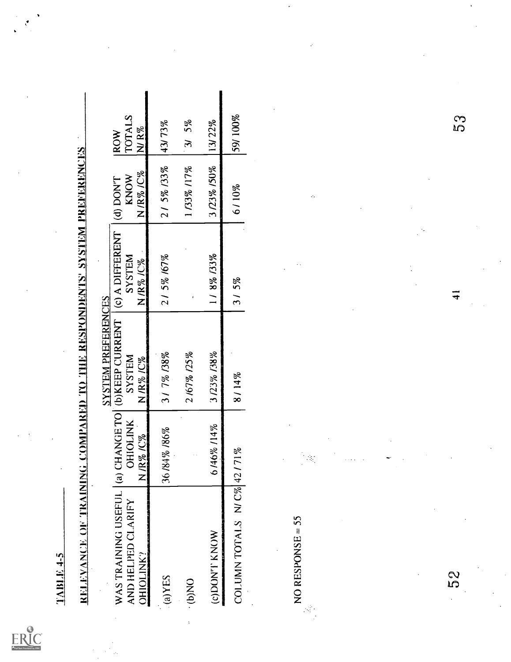ERIC

| $7-5$ 31.18 AT                                                       |                                             |                                                                   |                                                 |                               |                                   |
|----------------------------------------------------------------------|---------------------------------------------|-------------------------------------------------------------------|-------------------------------------------------|-------------------------------|-----------------------------------|
| RELEVANCE OF TRAINING COMPARING THE RESPONDENCES 'SYSTEM PREFERENCES |                                             |                                                                   |                                                 |                               |                                   |
| WAS TRAINING USEFUL<br>AND HELPED CLARIFY<br><b>OHIOLINK?</b>        | (a) CHANGE TO<br><b>OHIOLINK</b><br>N/R%/C% | <b>SYSTEM PREFERENCES</b><br>(b)KEEP CURRENT<br>SYSTEM<br>N/R%/C% | (c) A DIFFERENT<br><b>SYSTEM</b><br>$N/R\%$ /C% | N/R%/C%<br>KNOW<br>$(4)$ DONT | TOTALS<br>N/ $R\%$<br><b>IROW</b> |
| $S\exists X(e)$                                                      | 36/84% /86%                                 | 317% 138%                                                         | 21 5% 167%                                      | 21 5% 133%                    | 43/73%                            |
| ON(q).                                                               |                                             | 2 /67% /25%                                                       |                                                 | 1133% 117%                    | $5\%$<br>$\mathfrak{B}$           |
| (c)DON'l' KNOW                                                       | 6/46%/14%                                   | 3/23%/38%                                                         | 1/8% /33%                                       | 3/23% /50%                    | 13/22%                            |
| COLUMN TOTALS N/C% 42/71%                                            |                                             | 8/14%                                                             | 315%                                            | 6/10%                         | 59/100%                           |
| NO RESPONSE = $55$<br>$\mathcal{L}_{\mathrm{L}}$                     | $\mathcal{I}_\mathcal{I}$                   |                                                                   |                                                 | $\mathcal{L}_{\mathcal{A}}$   |                                   |
| 5S<br>S                                                              |                                             |                                                                   | न                                               |                               | S<br>S                            |
|                                                                      |                                             |                                                                   |                                                 |                               |                                   |

 $\mathbf{I}$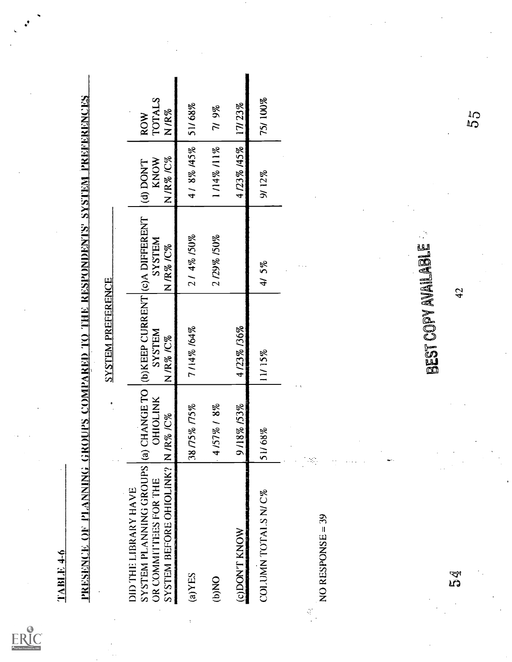$\mathop{\mathrm{\mathbf{ERIC}}}\limits_{\mathop{\mathsf{Part}\, \mathsf{Broted}}\nolimits}$ 

|        |                                                                                                    |                                                                    | SYSTEM PREFERENCE                                                       |                             |                              |                              |
|--------|----------------------------------------------------------------------------------------------------|--------------------------------------------------------------------|-------------------------------------------------------------------------|-----------------------------|------------------------------|------------------------------|
|        | SYSTEM PLANNING GROUPS<br>SYSTEM BEFORE OHIOLINK?<br>OR COMMITTEES FOR THE<br>DID THE LIBRARY HAVE | (a) CHANGE TO<br><b>OHIOLINK</b><br>$IR\%$ / $C\%$<br>$\mathbf{z}$ | (b) KEEP CURRENT (c) A DIFFERENT<br><b>NALISAS</b><br>N / $R\%$ / $C\%$ | <b>NALISAS</b><br>N /R% /C% | N/R%/C%<br>KNOW<br>(d) DON'T | TOTALS<br>N/R%<br><b>ROW</b> |
| (2)YES |                                                                                                    | 38 / 75% / 75%                                                     | 7/14% /64%                                                              | 214% /50%                   | 4/8% 145%                    | 51/68%                       |
| (b)NO  |                                                                                                    | 1/57% / 8%                                                         |                                                                         | 2/29% /50%                  | 1/14%/11%                    | 719%                         |
|        | <b>CDON'T KNOW</b>                                                                                 | 18% 153%                                                           | 4/23%/36%                                                               |                             | 4123% 145%                   | 17/23%                       |
|        | COLUMN TOTALS N/C%                                                                                 | 1/68%<br>$\overline{5}$                                            | 11/15%                                                                  | 415%                        | 9/12%                        | 75/100%                      |
| ĝ.     | NO RESPONSE = 39                                                                                   | 75                                                                 |                                                                         |                             |                              |                              |
|        |                                                                                                    |                                                                    | BEST COPY AVAILABLE                                                     |                             |                              |                              |
| 54     |                                                                                                    |                                                                    | 42                                                                      |                             |                              | $\mathbb{S}^1$               |
|        |                                                                                                    |                                                                    |                                                                         |                             |                              |                              |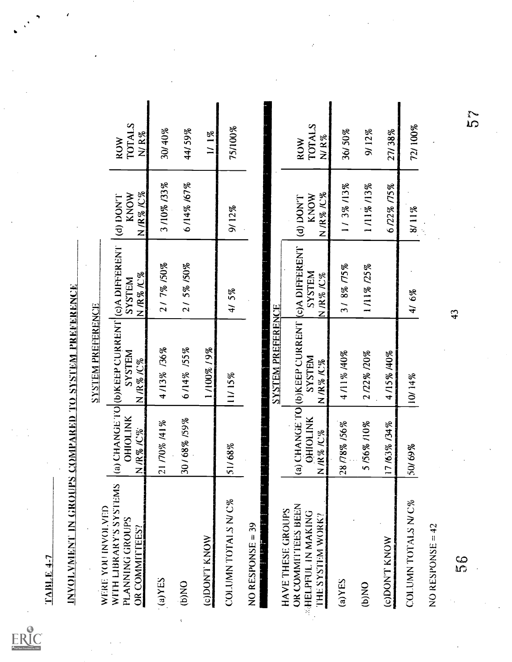$\sum_{\text{A}} \sum_{\text{C} \text{trivial}} \sum_{\text{C} \text{trivial}}$ 

| <u>TABLE</u> 4-7                                                                       |                          |                                                                   |                                                                           |                                                      |                                        |
|----------------------------------------------------------------------------------------|--------------------------|-------------------------------------------------------------------|---------------------------------------------------------------------------|------------------------------------------------------|----------------------------------------|
| <u>INVOLVMENT IN GROUPS COMPARED TO SYSTEM PREFERENCE</u>                              |                          |                                                                   |                                                                           |                                                      |                                        |
| WERE YOU INVOLVED                                                                      |                          | <b>SYSTEM PREFERENCE</b>                                          |                                                                           |                                                      |                                        |
| WITH LIBRARY'S SYSTEMS<br>PLANNING GROUPS<br>OR COMMITTEES?                            | OHIOLINK<br>NR%KY%       | (a) CHANGE TO (b)KEEP CURRENT (c)A DIFFERENT<br>SYSTEM<br>NR%IC%  | $\frac{\text{N}}{\text{M}}$ / $\frac{\%}{\%}$ / $\frac{\%}{\%}$<br>SYSTEM | <b>N/R%/C%</b><br>KNOW<br>T.NOU (p)                  | <b>TOTALS</b><br>$N/R$ %<br><b>ROW</b> |
| $(a)$ $YES$                                                                            | 21 /70% /41%             | 4/13% /36%                                                        | 2/7%/50%                                                                  | 3/10% /33%                                           | 30/40%                                 |
| (b)NO                                                                                  | 30/68% /59%              | 6/14% /55%                                                        | 215% /50%                                                                 | 6/14% /67%                                           | 44/59%                                 |
| <b>CODON'T KNOW</b>                                                                    |                          | 1/100%/9%                                                         |                                                                           |                                                      | $1/1\%$                                |
| COLUMN TOTALS N/C%                                                                     | 51/68%                   | 11/15%                                                            | 415%                                                                      | 9/12%                                                | 75/100%                                |
| NO RESPONSE = 39                                                                       |                          |                                                                   |                                                                           |                                                      |                                        |
|                                                                                        |                          | <b>SYSTEM PREFERENCE</b>                                          |                                                                           |                                                      |                                        |
| OR COMMITTEES BEEN<br>HAVE THESE GROUPS<br><b>ELPFUL IN MAKING</b><br>THE SYSTEM WORK? | <b>GHIOLINK</b><br>NR%K% | (a) CHANGE TO (b)KEEP CURRENT (c)A DIFFERENT<br>SYSTEM<br>N/R%/C% | <b>N3LSAS</b><br>$N$ /K % /C %                                            | NR%IC%<br>KNOW<br>L <sub>I</sub> NO <sub>U</sub> (p) | <b>TOTALS</b><br>N/ R%<br>ROW          |
| $(a)$ $YES$                                                                            | 28/78% /56%              | 4/11% /40%                                                        | 3/8%/75%                                                                  | 1/3%/13%                                             | 36/50%                                 |
| (b)NO                                                                                  | 5/56%/10%                | 2/22%/20%                                                         | 1/11% /25%                                                                | 1/11% /13%                                           | 9/12%                                  |
| (c)DON'I' KNOW                                                                         | 17/63% /34%              | 4/15% /40%                                                        |                                                                           | 6/22% /75%                                           | 27/38%                                 |
| COLUMN TOTALS N/C%                                                                     | 50/69%                   | 10/14%                                                            | 4/6%                                                                      | 8/11%                                                | 72/100%                                |
| NO RESPONSE = $42$                                                                     |                          |                                                                   |                                                                           |                                                      |                                        |
| SS<br>S                                                                                |                          |                                                                   | 43                                                                        |                                                      | S<br>S                                 |
|                                                                                        |                          |                                                                   |                                                                           |                                                      |                                        |
|                                                                                        |                          |                                                                   |                                                                           |                                                      |                                        |
|                                                                                        |                          |                                                                   |                                                                           |                                                      |                                        |